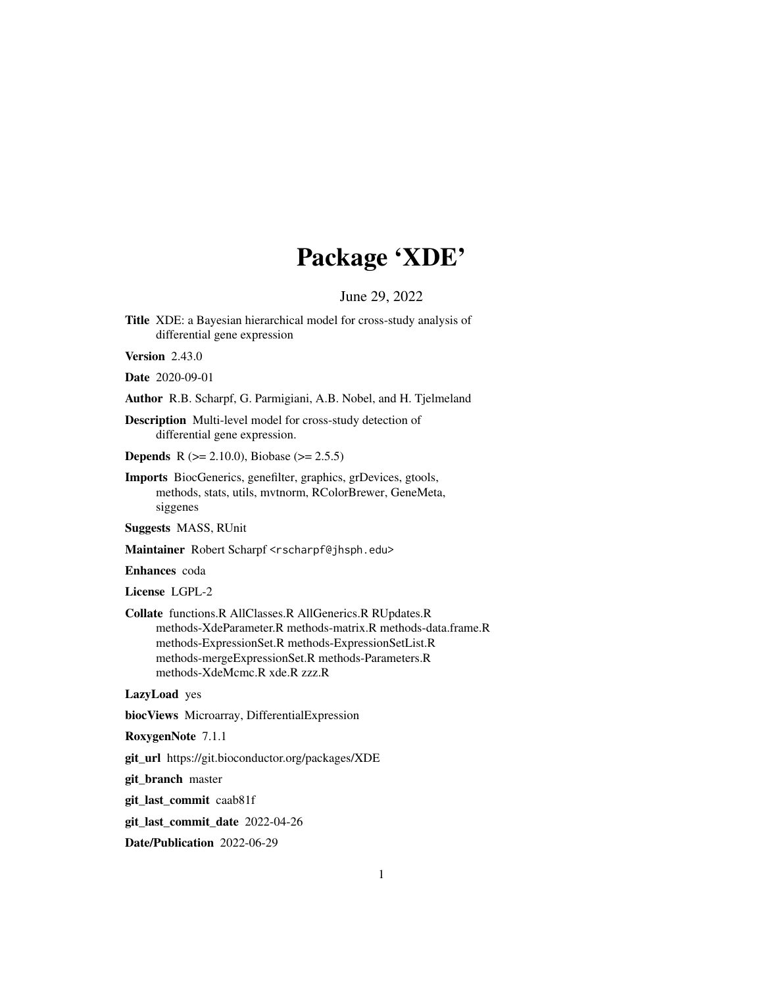## Package 'XDE'

## June 29, 2022

<span id="page-0-0"></span>Title XDE: a Bayesian hierarchical model for cross-study analysis of differential gene expression

Version 2.43.0

Date 2020-09-01

Author R.B. Scharpf, G. Parmigiani, A.B. Nobel, and H. Tjelmeland

Description Multi-level model for cross-study detection of differential gene expression.

**Depends** R ( $>= 2.10.0$ ), Biobase ( $>= 2.5.5$ )

Imports BiocGenerics, genefilter, graphics, grDevices, gtools, methods, stats, utils, mvtnorm, RColorBrewer, GeneMeta, siggenes

Suggests MASS, RUnit

Maintainer Robert Scharpf <rscharpf@jhsph.edu>

Enhances coda

License LGPL-2

Collate functions.R AllClasses.R AllGenerics.R RUpdates.R methods-XdeParameter.R methods-matrix.R methods-data.frame.R methods-ExpressionSet.R methods-ExpressionSetList.R methods-mergeExpressionSet.R methods-Parameters.R methods-XdeMcmc.R xde.R zzz.R

LazyLoad yes

biocViews Microarray, DifferentialExpression

RoxygenNote 7.1.1

git\_url https://git.bioconductor.org/packages/XDE

git\_branch master

git\_last\_commit caab81f

git\_last\_commit\_date 2022-04-26

Date/Publication 2022-06-29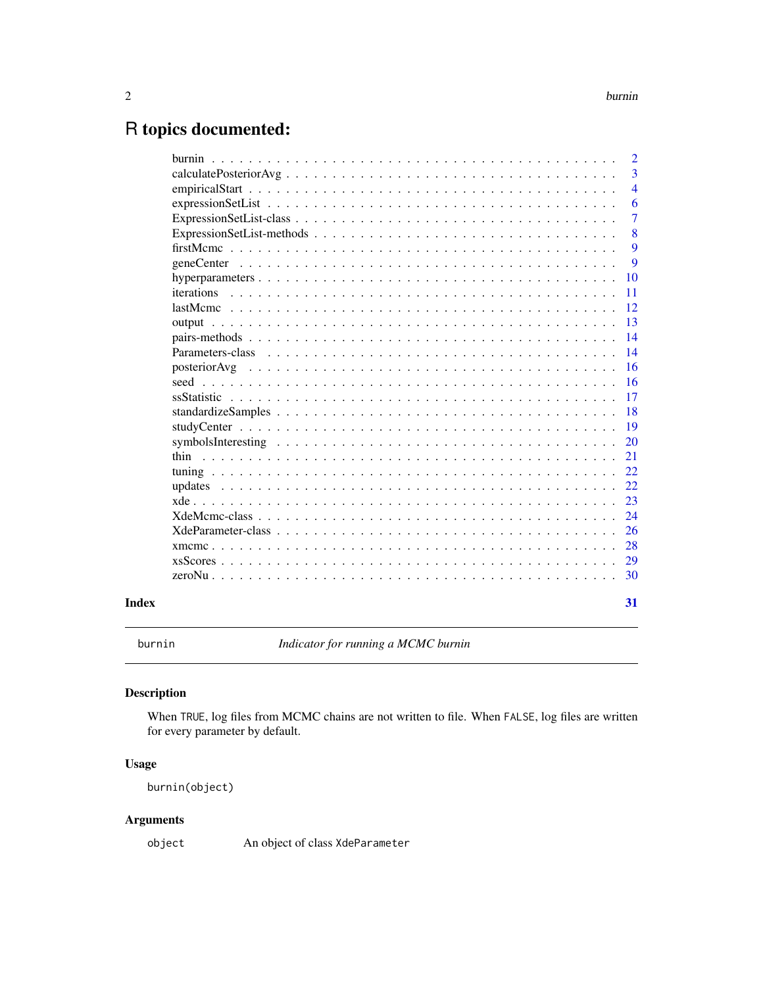## <span id="page-1-0"></span>R topics documented:

|  | 3<br>$\overline{4}$ |
|--|---------------------|
|  |                     |
|  |                     |
|  | 6                   |
|  | $\overline{7}$      |
|  | 8                   |
|  | 9                   |
|  | 9                   |
|  | 10                  |
|  | 11                  |
|  | 12                  |
|  | 13                  |
|  | 14                  |
|  | 14                  |
|  | 16                  |
|  | 16                  |
|  | 17                  |
|  | 18                  |
|  | 19                  |
|  | 20                  |
|  | 21                  |
|  | 22                  |
|  | 22                  |
|  | 23                  |
|  | 24                  |
|  | 26                  |
|  | 28                  |
|  | 29                  |
|  |                     |
|  | 31                  |

<span id="page-1-1"></span>burnin *Indicator for running a MCMC burnin*

## Description

When TRUE, log files from MCMC chains are not written to file. When FALSE, log files are written for every parameter by default.

## Usage

burnin(object)

## Arguments

object An object of class XdeParameter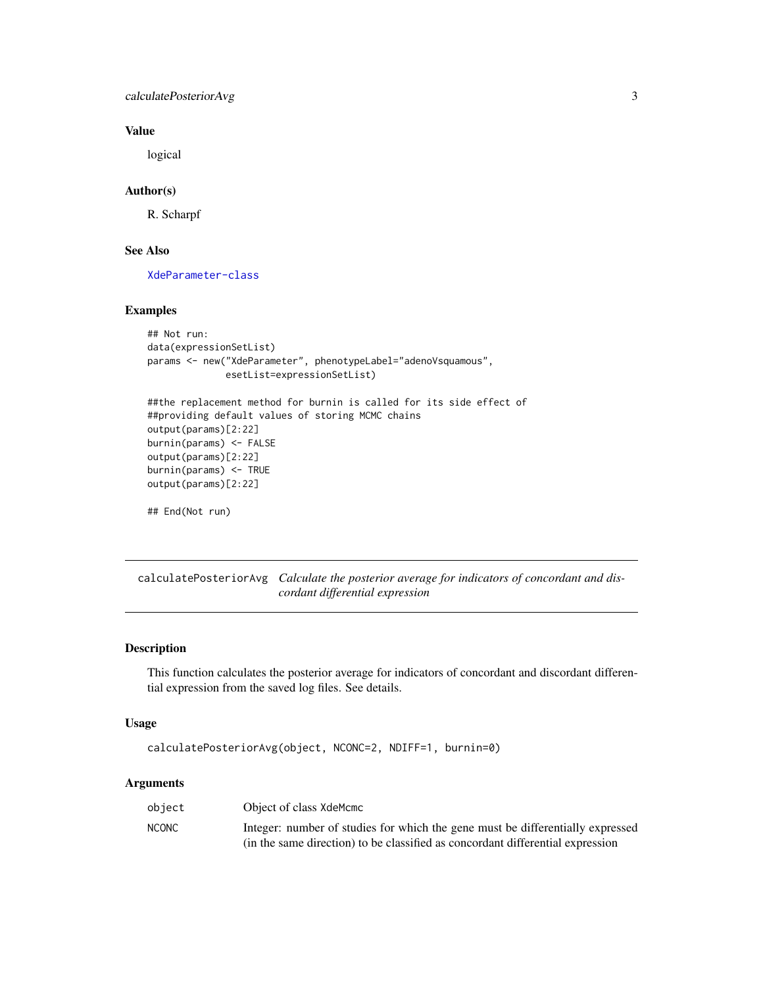## <span id="page-2-0"></span>calculatePosteriorAvg 3

## Value

logical

## Author(s)

R. Scharpf

## See Also

[XdeParameter-class](#page-25-1)

## Examples

```
## Not run:
data(expressionSetList)
params <- new("XdeParameter", phenotypeLabel="adenoVsquamous",
              esetList=expressionSetList)
##the replacement method for burnin is called for its side effect of
##providing default values of storing MCMC chains
output(params)[2:22]
burnin(params) <- FALSE
output(params)[2:22]
burnin(params) <- TRUE
output(params)[2:22]
## End(Not run)
```
<span id="page-2-1"></span>calculatePosteriorAvg *Calculate the posterior average for indicators of concordant and discordant differential expression*

#### Description

This function calculates the posterior average for indicators of concordant and discordant differential expression from the saved log files. See details.

#### Usage

```
calculatePosteriorAvg(object, NCONC=2, NDIFF=1, burnin=0)
```
## Arguments

| object       | Object of class XdeMcmc                                                        |
|--------------|--------------------------------------------------------------------------------|
| <b>NCONC</b> | Integer: number of studies for which the gene must be differentially expressed |
|              | (in the same direction) to be classified as concordant differential expression |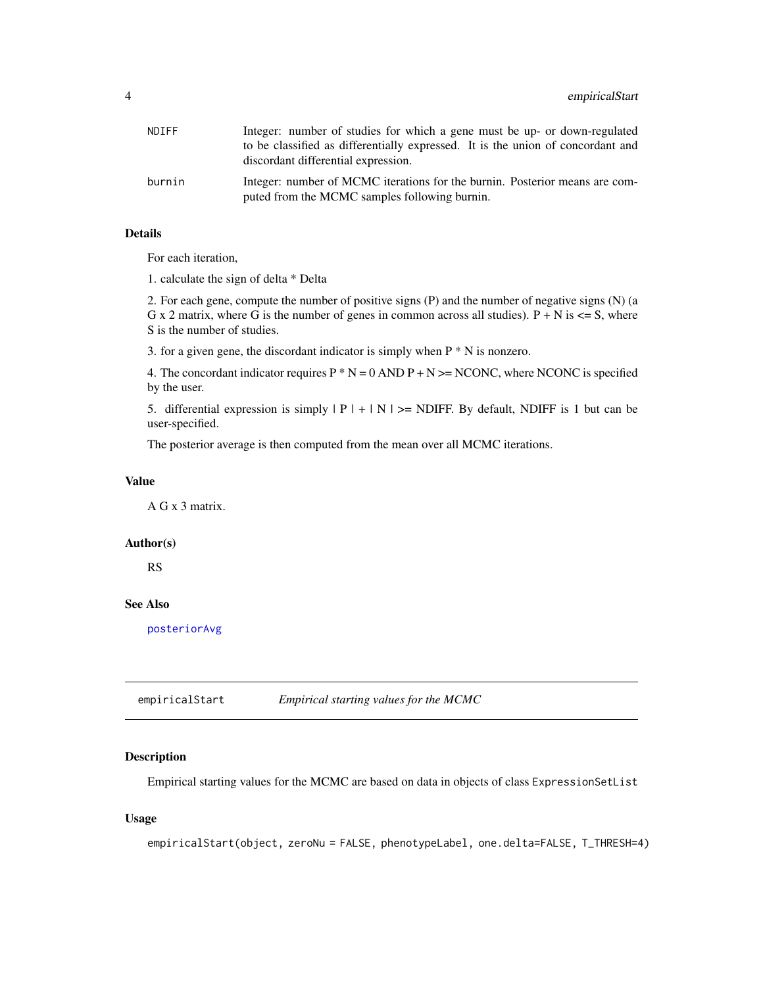<span id="page-3-0"></span>

| NDIFF  | Integer: number of studies for which a gene must be up- or down-regulated                                                    |
|--------|------------------------------------------------------------------------------------------------------------------------------|
|        | to be classified as differentially expressed. It is the union of concordant and                                              |
|        | discordant differential expression.                                                                                          |
| burnin | Integer: number of MCMC iterations for the burnin. Posterior means are com-<br>puted from the MCMC samples following burnin. |

## Details

For each iteration,

1. calculate the sign of delta \* Delta

2. For each gene, compute the number of positive signs (P) and the number of negative signs (N) (a G x 2 matrix, where G is the number of genes in common across all studies).  $P + N$  is  $\leq$  S, where S is the number of studies.

3. for a given gene, the discordant indicator is simply when  $P * N$  is nonzero.

4. The concordant indicator requires  $P * N = 0$  AND  $P + N \geq N$ CONC, where NCONC is specified by the user.

5. differential expression is simply  $|P| + |N|$  >= NDIFF. By default, NDIFF is 1 but can be user-specified.

The posterior average is then computed from the mean over all MCMC iterations.

## Value

A G x 3 matrix.

## Author(s)

RS

### See Also

[posteriorAvg](#page-15-1)

empiricalStart *Empirical starting values for the MCMC*

#### Description

Empirical starting values for the MCMC are based on data in objects of class ExpressionSetList

#### Usage

```
empiricalStart(object, zeroNu = FALSE, phenotypeLabel, one.delta=FALSE, T_THRESH=4)
```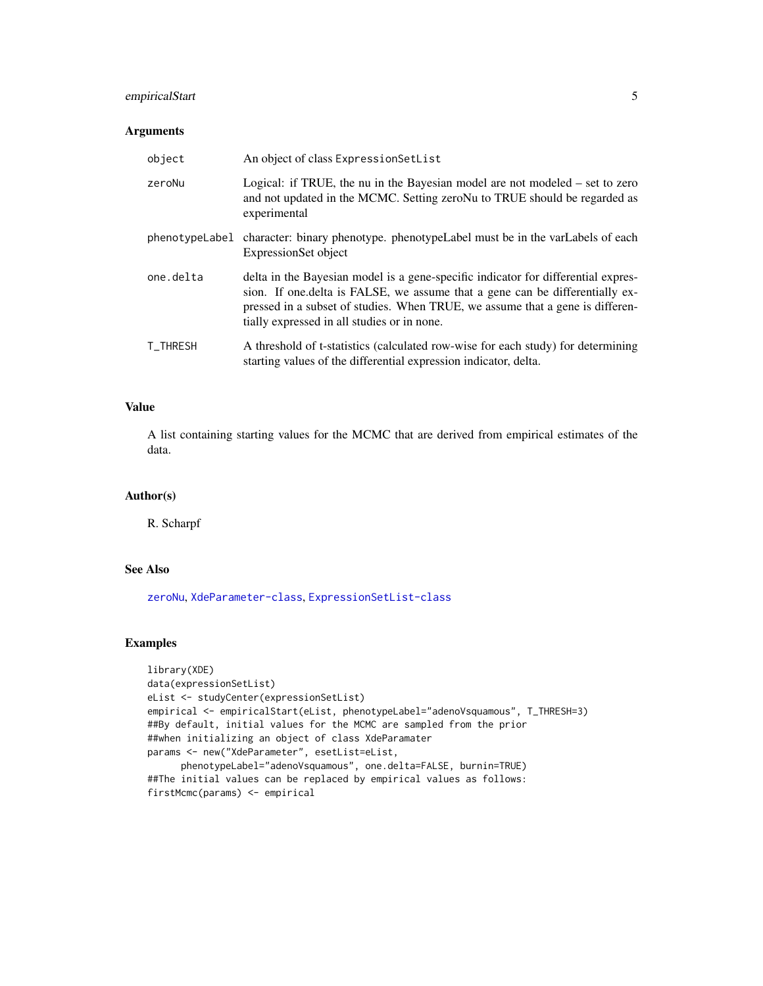## <span id="page-4-0"></span>empiricalStart 5

## Arguments

| object          | An object of class Expression SetList                                                                                                                                                                                                                                                             |
|-----------------|---------------------------------------------------------------------------------------------------------------------------------------------------------------------------------------------------------------------------------------------------------------------------------------------------|
| zeroNu          | Logical: if TRUE, the nu in the Bayesian model are not modeled – set to zero<br>and not updated in the MCMC. Setting zeroNu to TRUE should be regarded as<br>experimental                                                                                                                         |
| phenotypeLabel  | character: binary phenotype. phenotypeLabel must be in the varLabels of each<br>ExpressionSet object                                                                                                                                                                                              |
| one.delta       | delta in the Bayesian model is a gene-specific indicator for differential expres-<br>sion. If one delta is FALSE, we assume that a gene can be differentially ex-<br>pressed in a subset of studies. When TRUE, we assume that a gene is differen-<br>tially expressed in all studies or in none. |
| <b>T_THRESH</b> | A threshold of t-statistics (calculated row-wise for each study) for determining<br>starting values of the differential expression indicator, delta.                                                                                                                                              |

#### Value

A list containing starting values for the MCMC that are derived from empirical estimates of the data.

#### Author(s)

R. Scharpf

## See Also

[zeroNu](#page-29-1), [XdeParameter-class](#page-25-1), [ExpressionSetList-class](#page-6-1)

#### Examples

```
library(XDE)
data(expressionSetList)
eList <- studyCenter(expressionSetList)
empirical <- empiricalStart(eList, phenotypeLabel="adenoVsquamous", T_THRESH=3)
##By default, initial values for the MCMC are sampled from the prior
##when initializing an object of class XdeParamater
params <- new("XdeParameter", esetList=eList,
     phenotypeLabel="adenoVsquamous", one.delta=FALSE, burnin=TRUE)
##The initial values can be replaced by empirical values as follows:
firstMcmc(params) <- empirical
```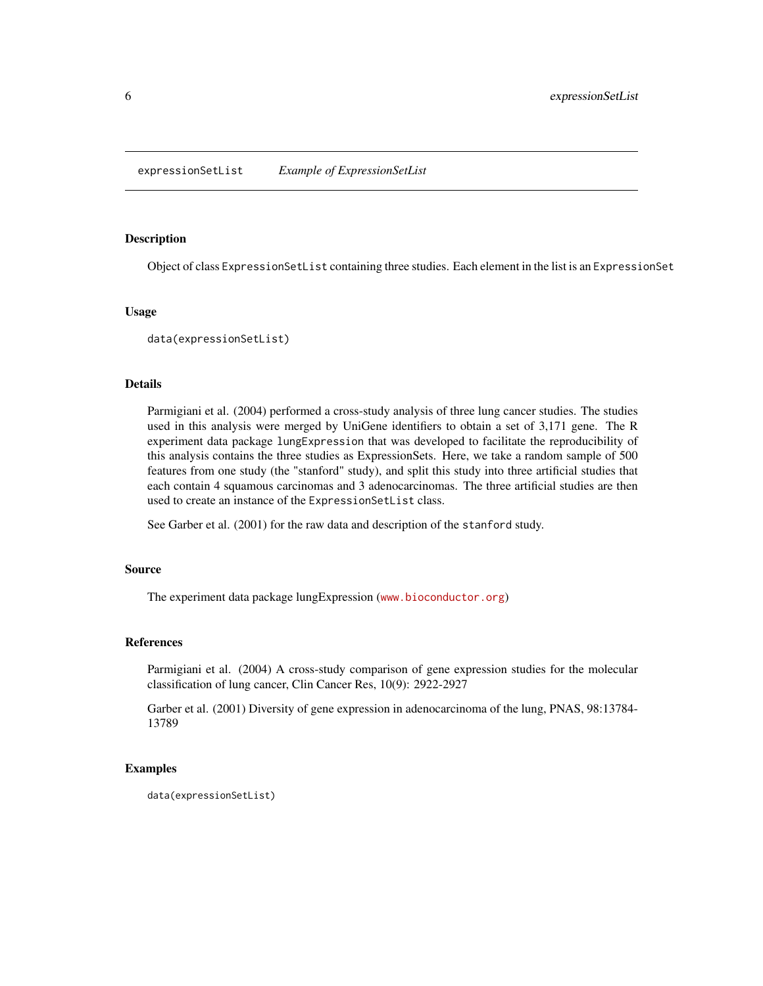<span id="page-5-0"></span>expressionSetList *Example of ExpressionSetList*

### **Description**

Object of class ExpressionSetList containing three studies. Each element in the list is an ExpressionSet

#### Usage

data(expressionSetList)

## Details

Parmigiani et al. (2004) performed a cross-study analysis of three lung cancer studies. The studies used in this analysis were merged by UniGene identifiers to obtain a set of 3,171 gene. The R experiment data package lungExpression that was developed to facilitate the reproducibility of this analysis contains the three studies as ExpressionSets. Here, we take a random sample of 500 features from one study (the "stanford" study), and split this study into three artificial studies that each contain 4 squamous carcinomas and 3 adenocarcinomas. The three artificial studies are then used to create an instance of the ExpressionSetList class.

See Garber et al. (2001) for the raw data and description of the stanford study.

#### Source

The experiment data package lungExpression (<www.bioconductor.org>)

#### References

Parmigiani et al. (2004) A cross-study comparison of gene expression studies for the molecular classification of lung cancer, Clin Cancer Res, 10(9): 2922-2927

Garber et al. (2001) Diversity of gene expression in adenocarcinoma of the lung, PNAS, 98:13784- 13789

#### Examples

```
data(expressionSetList)
```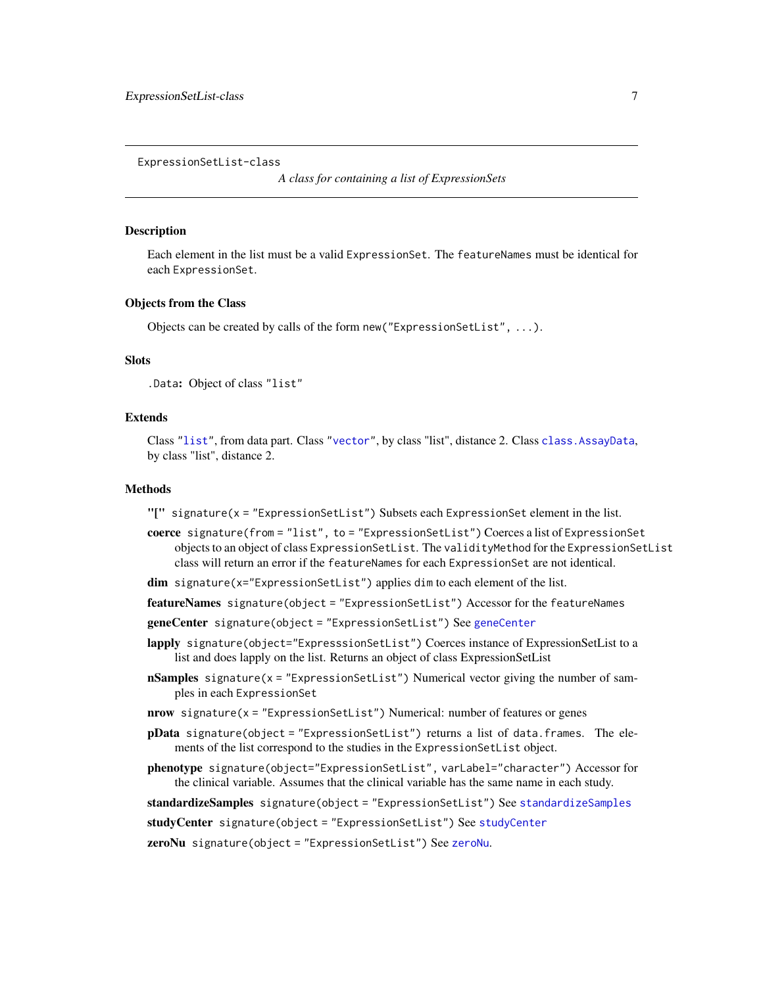<span id="page-6-1"></span><span id="page-6-0"></span>ExpressionSetList-class

*A class for containing a list of ExpressionSets*

#### **Description**

Each element in the list must be a valid ExpressionSet. The featureNames must be identical for each ExpressionSet.

#### Objects from the Class

Objects can be created by calls of the form new("ExpressionSetList", ...).

#### **Slots**

```
.Data: Object of class "list"
```
## Extends

Class ["list"](#page-0-0), from data part. Class ["vector"](#page-0-0), by class "list", distance 2. Class [class.AssayData](#page-0-0), by class "list", distance 2.

#### Methods

"[" signature(x = "ExpressionSetList") Subsets each ExpressionSet element in the list.

- coerce signature(from = "list", to = "ExpressionSetList") Coerces a list of ExpressionSet objects to an object of class ExpressionSetList. The validityMethod for the ExpressionSetList class will return an error if the featureNames for each ExpressionSet are not identical.
- dim signature(x="ExpressionSetList") applies dim to each element of the list.
- featureNames signature(object = "ExpressionSetList") Accessor for the featureNames

```
geneCenter signature(object = "ExpressionSetList") See geneCenter
```
- lapply signature(object="ExpresssionSetList") Coerces instance of ExpressionSetList to a list and does lapply on the list. Returns an object of class ExpressionSetList
- **nSamples** signature( $x =$  "ExpressionSetList") Numerical vector giving the number of samples in each ExpressionSet
- nrow signature(x = "ExpressionSetList") Numerical: number of features or genes
- **pData** signature(object = "ExpressionSetList") returns a list of data.frames. The elements of the list correspond to the studies in the ExpressionSetList object.
- phenotype signature(object="ExpressionSetList", varLabel="character") Accessor for the clinical variable. Assumes that the clinical variable has the same name in each study.

[standardizeSamples](#page-17-1) signature(object = "ExpressionSetList") See standardizeSamples

studyCenter signature(object = "ExpressionSetList") See [studyCenter](#page-18-1)

[zeroNu](#page-29-1) signature(object = "ExpressionSetList") See zeroNu.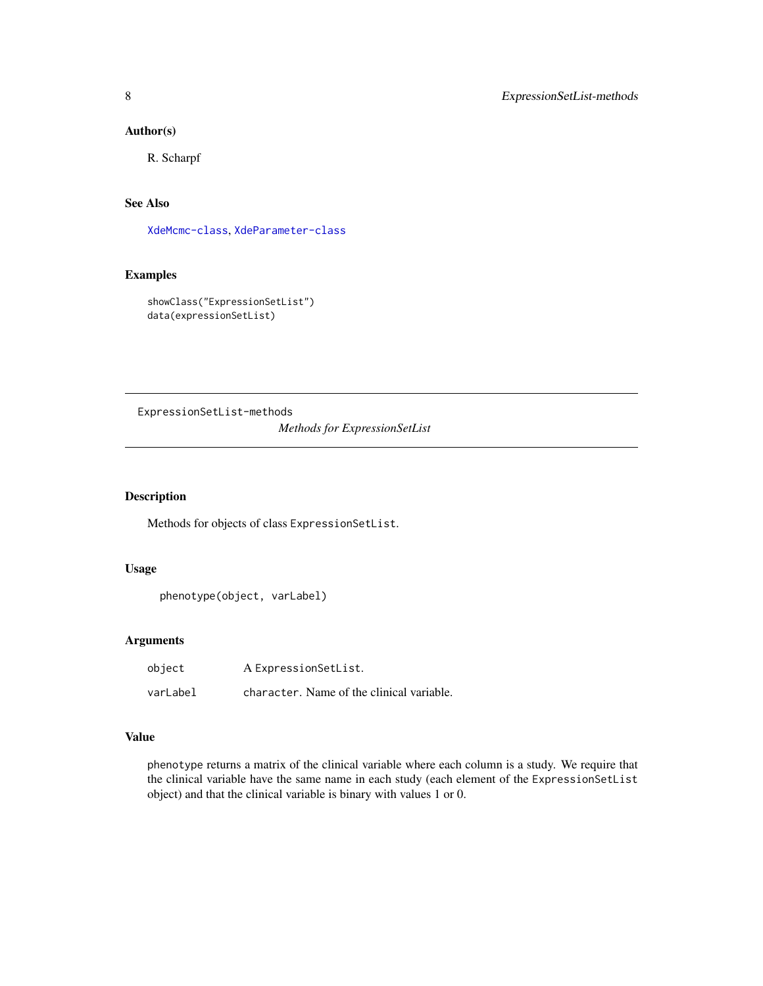#### <span id="page-7-0"></span>Author(s)

R. Scharpf

## See Also

[XdeMcmc-class](#page-23-1), [XdeParameter-class](#page-25-1)

## Examples

```
showClass("ExpressionSetList")
data(expressionSetList)
```
ExpressionSetList-methods *Methods for ExpressionSetList*

## Description

Methods for objects of class ExpressionSetList.

## Usage

```
phenotype(object, varLabel)
```
## Arguments

| object   | A ExpressionSetList.                      |
|----------|-------------------------------------------|
| varLabel | character. Name of the clinical variable. |

#### Value

phenotype returns a matrix of the clinical variable where each column is a study. We require that the clinical variable have the same name in each study (each element of the ExpressionSetList object) and that the clinical variable is binary with values 1 or 0.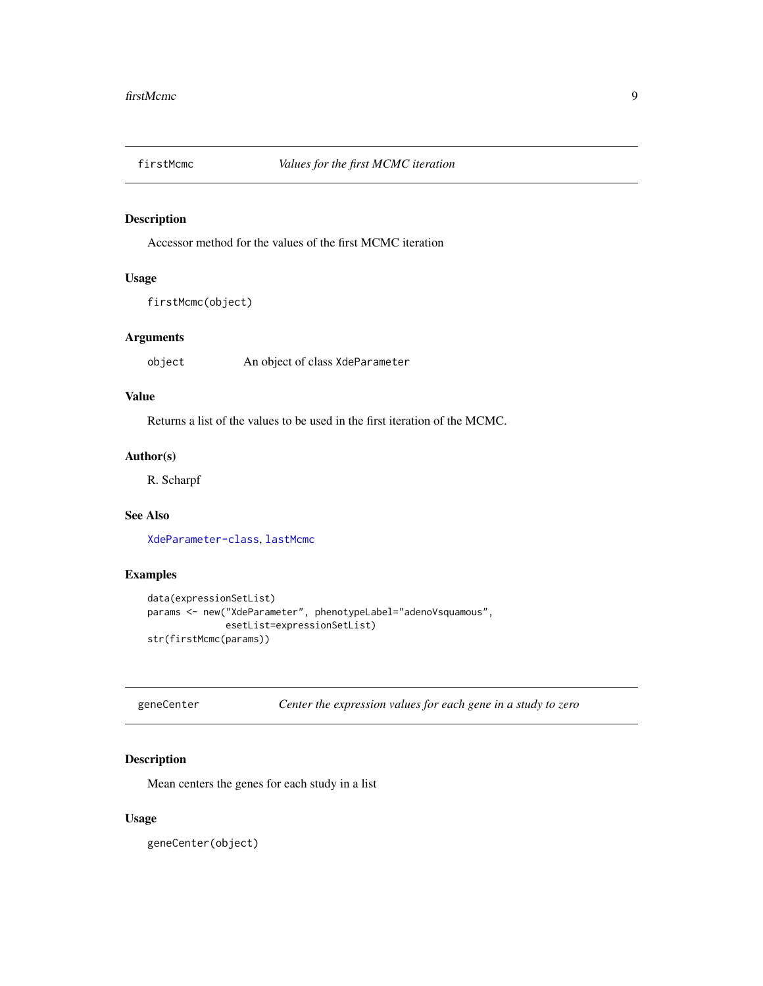<span id="page-8-2"></span><span id="page-8-0"></span>

Accessor method for the values of the first MCMC iteration

## Usage

firstMcmc(object)

## Arguments

object An object of class XdeParameter

## Value

Returns a list of the values to be used in the first iteration of the MCMC.

#### Author(s)

R. Scharpf

## See Also

[XdeParameter-class](#page-25-1), [lastMcmc](#page-11-1)

## Examples

```
data(expressionSetList)
params <- new("XdeParameter", phenotypeLabel="adenoVsquamous",
              esetList=expressionSetList)
str(firstMcmc(params))
```
<span id="page-8-1"></span>geneCenter *Center the expression values for each gene in a study to zero*

## Description

Mean centers the genes for each study in a list

#### Usage

geneCenter(object)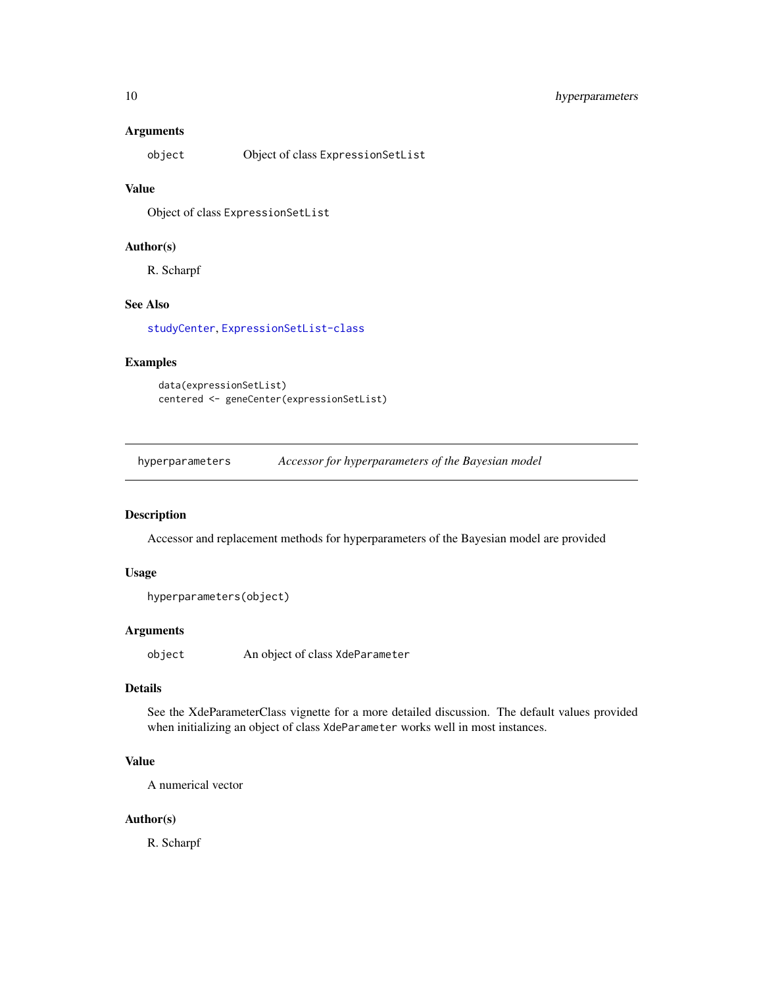## <span id="page-9-0"></span>10 hyperparameters

## Arguments

object Object of class ExpressionSetList

## Value

Object of class ExpressionSetList

## Author(s)

R. Scharpf

## See Also

[studyCenter](#page-18-1), [ExpressionSetList-class](#page-6-1)

## Examples

```
data(expressionSetList)
centered <- geneCenter(expressionSetList)
```
hyperparameters *Accessor for hyperparameters of the Bayesian model*

## Description

Accessor and replacement methods for hyperparameters of the Bayesian model are provided

#### Usage

```
hyperparameters(object)
```
#### Arguments

object An object of class XdeParameter

## Details

See the XdeParameterClass vignette for a more detailed discussion. The default values provided when initializing an object of class XdeParameter works well in most instances.

## Value

A numerical vector

## Author(s)

R. Scharpf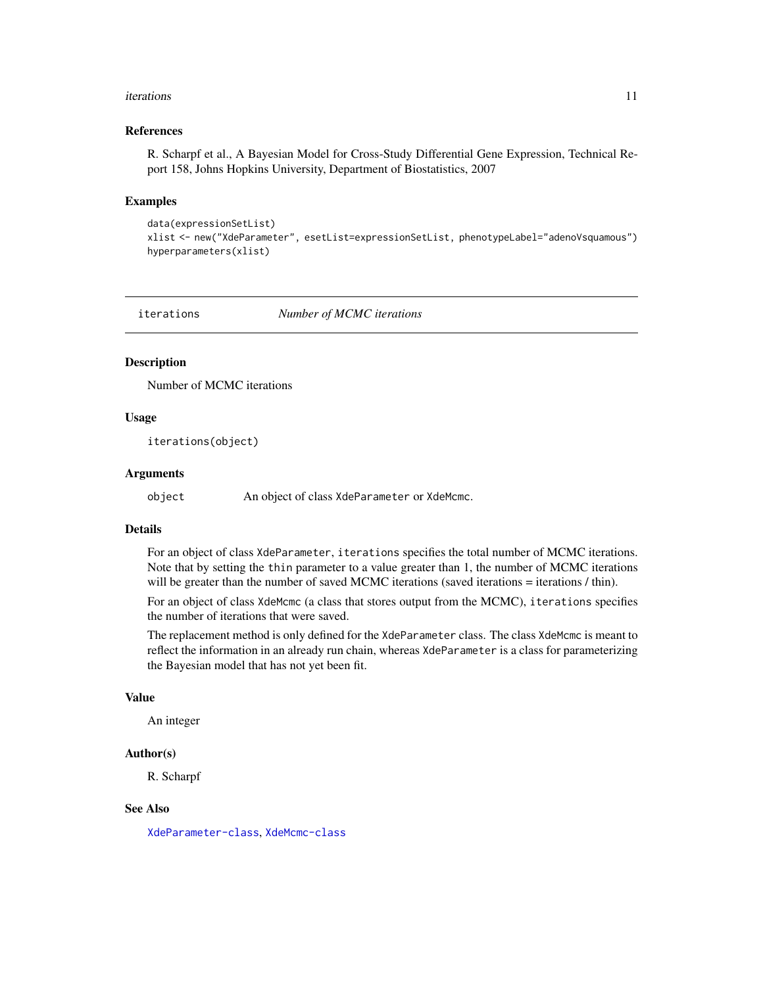#### <span id="page-10-0"></span>iterations and the contract of the contract of the contract of the contract of the contract of the contract of the contract of the contract of the contract of the contract of the contract of the contract of the contract of

#### References

R. Scharpf et al., A Bayesian Model for Cross-Study Differential Gene Expression, Technical Report 158, Johns Hopkins University, Department of Biostatistics, 2007

#### Examples

```
data(expressionSetList)
xlist <- new("XdeParameter", esetList=expressionSetList, phenotypeLabel="adenoVsquamous")
hyperparameters(xlist)
```
iterations *Number of MCMC iterations*

## **Description**

Number of MCMC iterations

## Usage

iterations(object)

#### Arguments

object An object of class XdeParameter or XdeMcmc.

#### Details

For an object of class XdeParameter, iterations specifies the total number of MCMC iterations. Note that by setting the thin parameter to a value greater than 1, the number of MCMC iterations will be greater than the number of saved MCMC iterations (saved iterations = iterations / thin).

For an object of class XdeMcmc (a class that stores output from the MCMC), iterations specifies the number of iterations that were saved.

The replacement method is only defined for the XdeParameter class. The class XdeMcmc is meant to reflect the information in an already run chain, whereas XdeParameter is a class for parameterizing the Bayesian model that has not yet been fit.

### Value

An integer

#### Author(s)

R. Scharpf

## See Also

[XdeParameter-class](#page-25-1), [XdeMcmc-class](#page-23-1)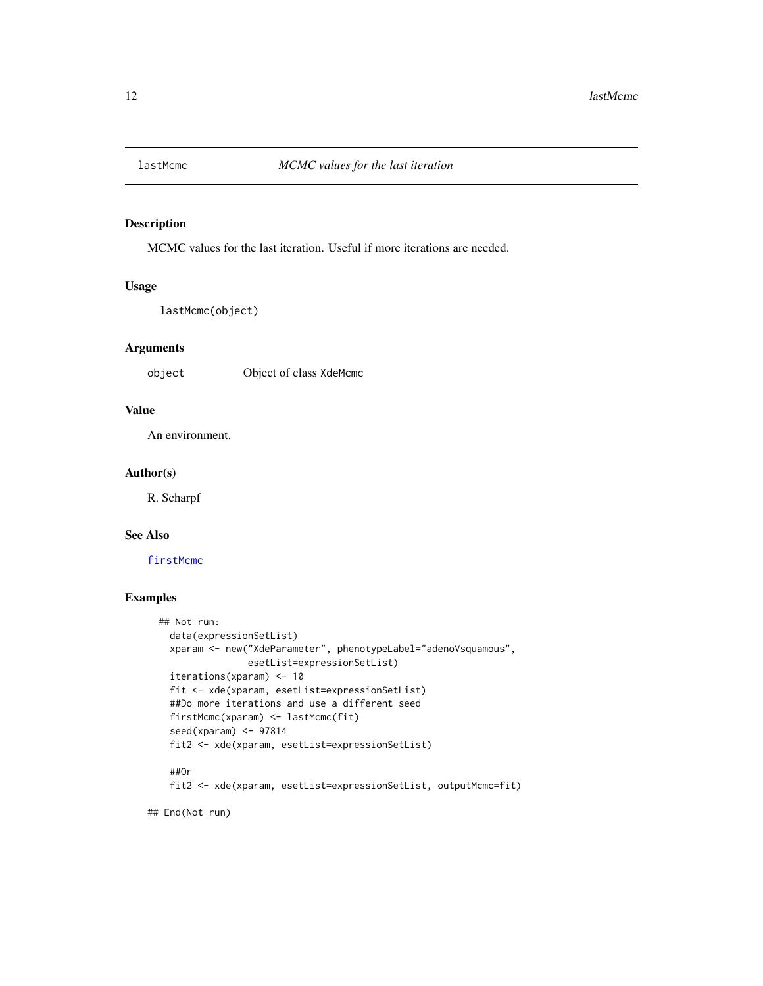<span id="page-11-1"></span><span id="page-11-0"></span>

MCMC values for the last iteration. Useful if more iterations are needed.

## Usage

lastMcmc(object)

## Arguments

object Object of class XdeMcmc

## Value

An environment.

#### Author(s)

R. Scharpf

#### See Also

[firstMcmc](#page-8-2)

## Examples

```
## Not run:
   data(expressionSetList)
   xparam <- new("XdeParameter", phenotypeLabel="adenoVsquamous",
                  esetList=expressionSetList)
    iterations(xparam) <- 10
    fit <- xde(xparam, esetList=expressionSetList)
   ##Do more iterations and use a different seed
   firstMcmc(xparam) <- lastMcmc(fit)
    seed(xparam) <- 97814
    fit2 <- xde(xparam, esetList=expressionSetList)
    ##Or
    fit2 <- xde(xparam, esetList=expressionSetList, outputMcmc=fit)
## End(Not run)
```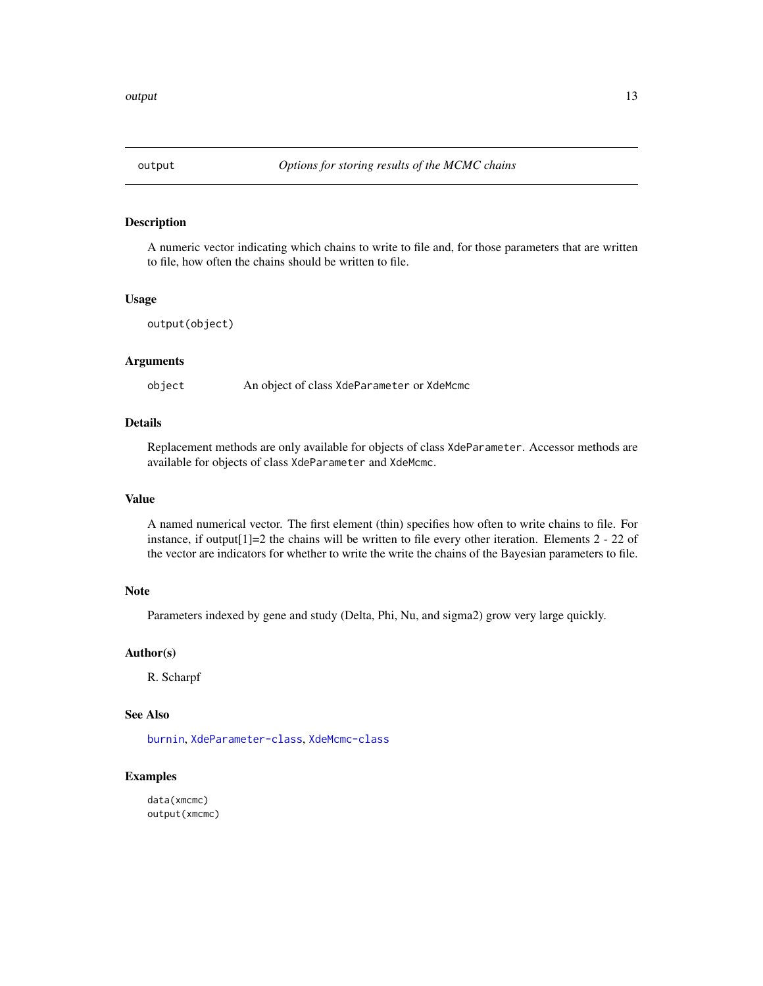<span id="page-12-1"></span><span id="page-12-0"></span>

A numeric vector indicating which chains to write to file and, for those parameters that are written to file, how often the chains should be written to file.

#### Usage

```
output(object)
```
## Arguments

object An object of class XdeParameter or XdeMcmc

## Details

Replacement methods are only available for objects of class XdeParameter. Accessor methods are available for objects of class XdeParameter and XdeMcmc.

## Value

A named numerical vector. The first element (thin) specifies how often to write chains to file. For instance, if output[1]=2 the chains will be written to file every other iteration. Elements 2 - 22 of the vector are indicators for whether to write the write the chains of the Bayesian parameters to file.

## Note

Parameters indexed by gene and study (Delta, Phi, Nu, and sigma2) grow very large quickly.

## Author(s)

R. Scharpf

## See Also

[burnin](#page-1-1), [XdeParameter-class](#page-25-1), [XdeMcmc-class](#page-23-1)

## Examples

data(xmcmc) output(xmcmc)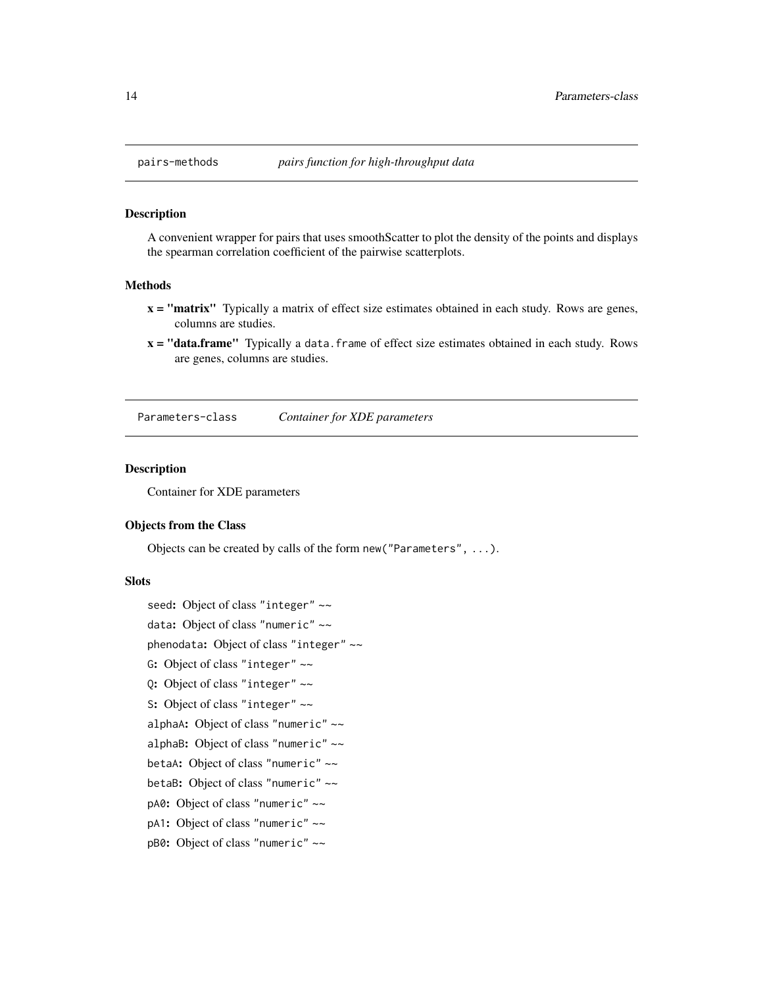<span id="page-13-0"></span>A convenient wrapper for pairs that uses smoothScatter to plot the density of the points and displays the spearman correlation coefficient of the pairwise scatterplots.

#### Methods

- x = "matrix" Typically a matrix of effect size estimates obtained in each study. Rows are genes, columns are studies.
- x = "data.frame" Typically a data.frame of effect size estimates obtained in each study. Rows are genes, columns are studies.

Parameters-class *Container for XDE parameters*

#### Description

Container for XDE parameters

#### Objects from the Class

Objects can be created by calls of the form new("Parameters", ...).

#### Slots

seed: Object of class "integer" ~~ data: Object of class "numeric" ~~ phenodata: Object of class "integer" ~~ G: Object of class "integer" ~~ Q: Object of class "integer" ~~ S: Object of class "integer" ~~ alphaA: Object of class "numeric" ~~ alphaB: Object of class "numeric" ~~ betaA: Object of class "numeric" ~~ betaB: Object of class "numeric" ~~ pA0: Object of class "numeric" ~~

## pB0: Object of class "numeric" ~~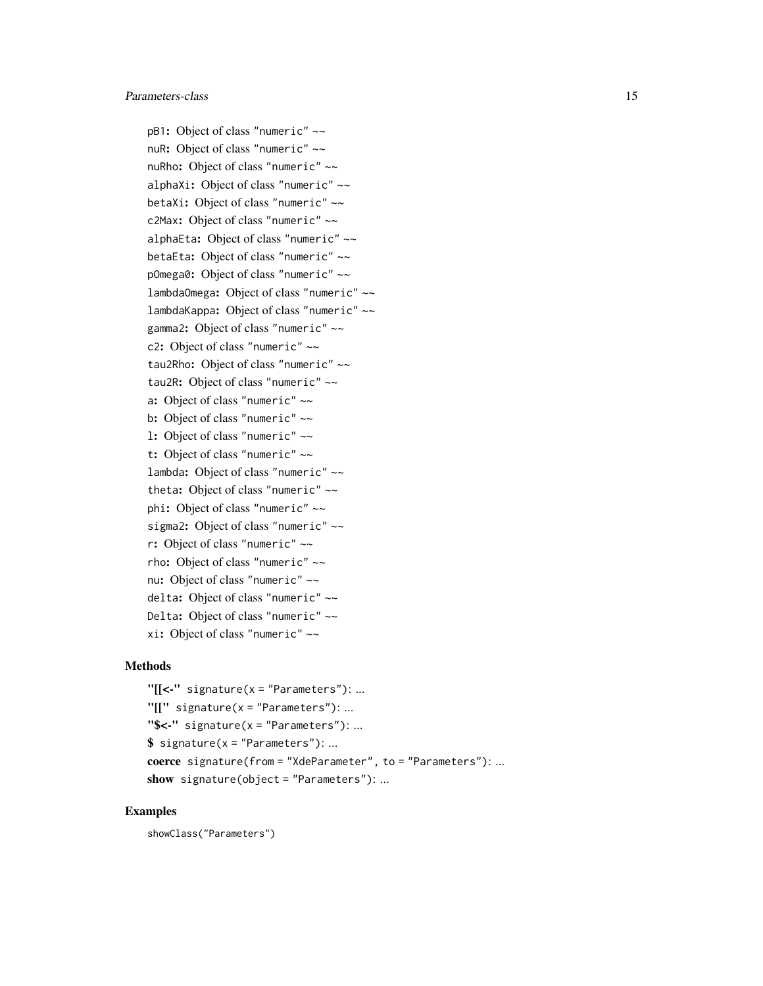pB1: Object of class "numeric" ~~ nuR: Object of class "numeric" ~~ nuRho: Object of class "numeric" ~~ alphaXi: Object of class "numeric" ~~ betaXi: Object of class "numeric" ~~ c2Max: Object of class "numeric" ~~ alphaEta: Object of class "numeric" ~~ betaEta: Object of class "numeric" ~~ pOmega0: Object of class "numeric" ~~ lambdaOmega: Object of class "numeric" ~~ lambdaKappa: Object of class "numeric" ~~ gamma2: Object of class "numeric" ~~ c2: Object of class "numeric" ~~ tau2Rho: Object of class "numeric" ~~ tau2R: Object of class "numeric" ~~ a: Object of class "numeric" ~~ b: Object of class "numeric" ~~ l: Object of class "numeric" ~~ t: Object of class "numeric" ~~ lambda: Object of class "numeric" ~~ theta: Object of class "numeric" ~~ phi: Object of class "numeric" ~~ sigma2: Object of class "numeric" ~~ r: Object of class "numeric" ~~ rho: Object of class "numeric" ~~ nu: Object of class "numeric" ~~ delta: Object of class "numeric" ~~ Delta: Object of class "numeric" ~~ xi: Object of class "numeric" ~~

## Methods

```
"[[<-" signature(x = "Parameters"): ...
"[[]" signature(x = "Parameters"): ...
"s <-" signature(x = "Parameters"): ...
$ signature(x = "Parameters"): ...
coerce signature(from = "XdeParameter", to = "Parameters"): ...
show signature(object = "Parameters"): ...
```
#### Examples

showClass("Parameters")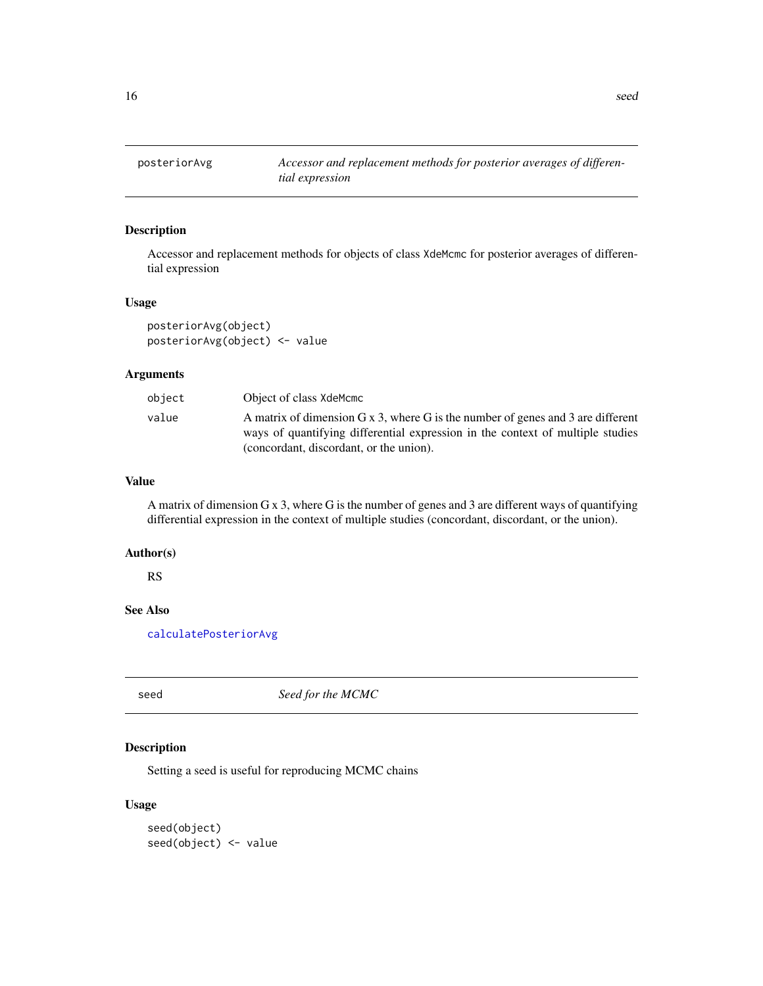Accessor and replacement methods for objects of class XdeMcmc for posterior averages of differential expression

## Usage

```
posteriorAvg(object)
posteriorAvg(object) <- value
```
## Arguments

| object | Object of class XdeMcmc                                                                                                                                                                                              |
|--------|----------------------------------------------------------------------------------------------------------------------------------------------------------------------------------------------------------------------|
| value  | A matrix of dimension $G \times 3$ , where G is the number of genes and 3 are different<br>ways of quantifying differential expression in the context of multiple studies<br>(concordant, discordant, or the union). |
|        |                                                                                                                                                                                                                      |

## Value

A matrix of dimension G x 3, where G is the number of genes and 3 are different ways of quantifying differential expression in the context of multiple studies (concordant, discordant, or the union).

#### Author(s)

RS

## See Also

[calculatePosteriorAvg](#page-2-1)

<span id="page-15-2"></span>seed *Seed for the MCMC*

## Description

Setting a seed is useful for reproducing MCMC chains

#### Usage

seed(object) seed(object) <- value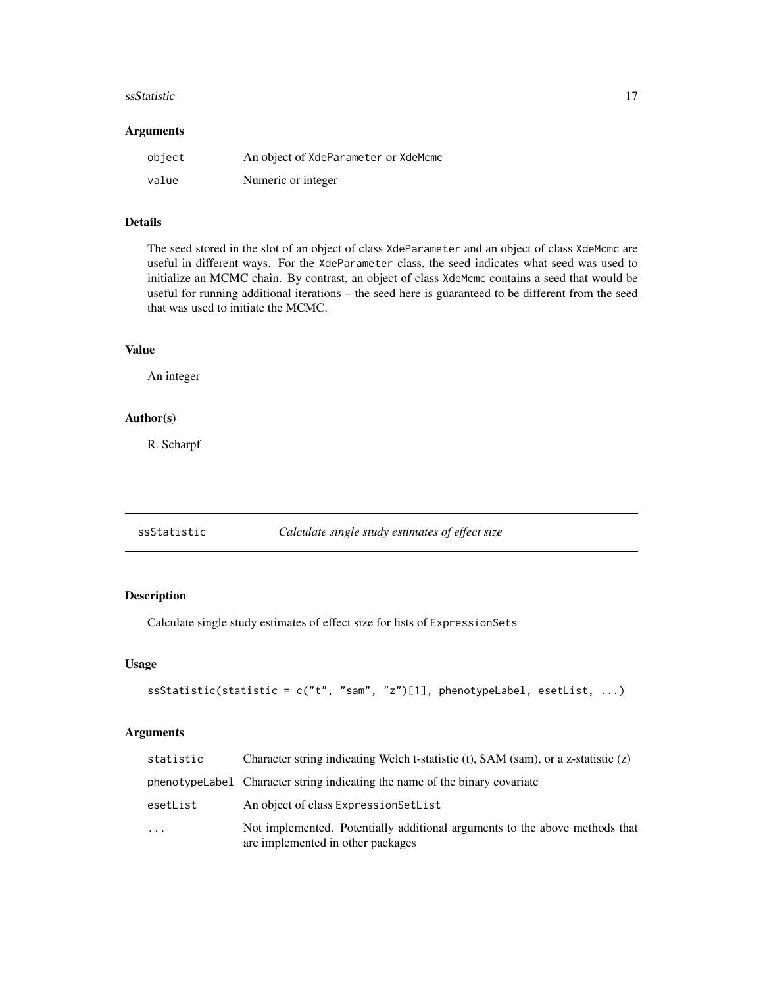#### <span id="page-16-0"></span>ssStatistic 17

#### Arguments

| object | An object of XdeParameter or XdeMcmc |
|--------|--------------------------------------|
| value  | Numeric or integer                   |

## Details

The seed stored in the slot of an object of class XdeParameter and an object of class XdeMcmc are useful in different ways. For the XdeParameter class, the seed indicates what seed was used to initialize an MCMC chain. By contrast, an object of class XdeMcmc contains a seed that would be useful for running additional iterations – the seed here is guaranteed to be different from the seed that was used to initiate the MCMC.

## Value

An integer

## Author(s)

R. Scharpf

<span id="page-16-1"></span>ssStatistic *Calculate single study estimates of effect size*

## Description

Calculate single study estimates of effect size for lists of ExpressionSets

#### Usage

```
ssStatistic(statistic = c("t", "sam", "z")[1], phenotypeLabel, esetList, ...)
```
## Arguments

| statistic | Character string indicating Welch t-statistic (t), SAM (sam), or a z-statistic (z)                               |
|-----------|------------------------------------------------------------------------------------------------------------------|
|           | phenotypeLabel Character string indicating the name of the binary covariate                                      |
| esetList  | An object of class Expression SetList                                                                            |
| .         | Not implemented. Potentially additional arguments to the above methods that<br>are implemented in other packages |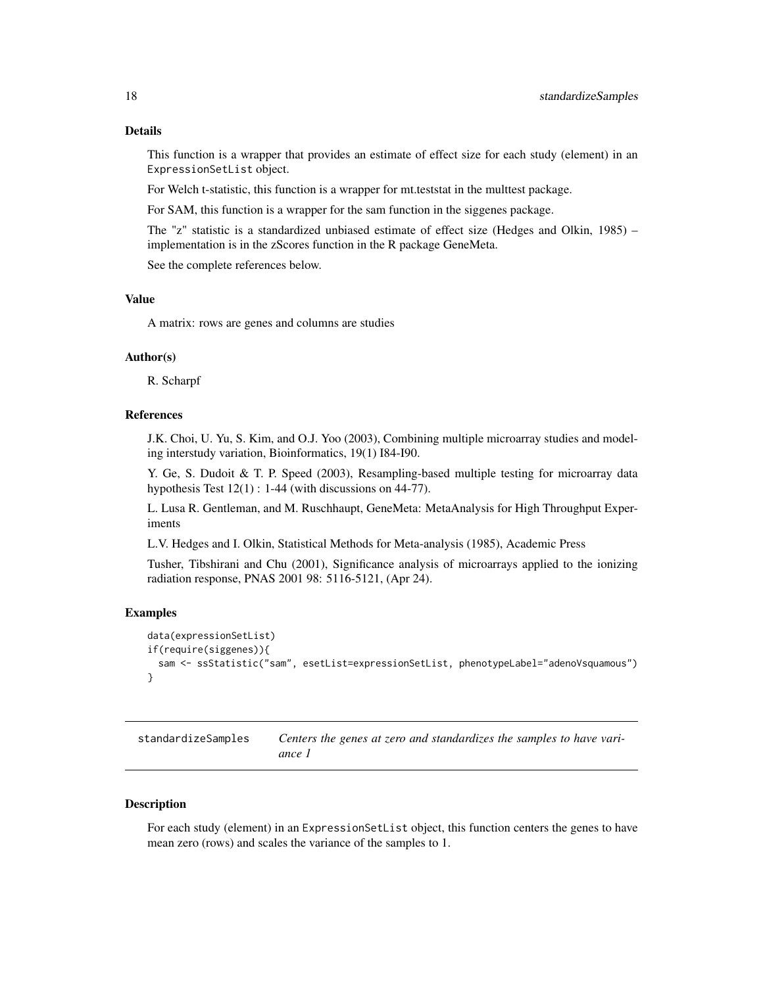#### <span id="page-17-0"></span>Details

This function is a wrapper that provides an estimate of effect size for each study (element) in an ExpressionSetList object.

For Welch t-statistic, this function is a wrapper for mt.teststat in the multtest package.

For SAM, this function is a wrapper for the sam function in the siggenes package.

The "z" statistic is a standardized unbiased estimate of effect size (Hedges and Olkin, 1985) – implementation is in the zScores function in the R package GeneMeta.

See the complete references below.

#### Value

A matrix: rows are genes and columns are studies

#### Author(s)

R. Scharpf

#### References

J.K. Choi, U. Yu, S. Kim, and O.J. Yoo (2003), Combining multiple microarray studies and modeling interstudy variation, Bioinformatics, 19(1) I84-I90.

Y. Ge, S. Dudoit & T. P. Speed (2003), Resampling-based multiple testing for microarray data hypothesis Test 12(1) : 1-44 (with discussions on 44-77).

L. Lusa R. Gentleman, and M. Ruschhaupt, GeneMeta: MetaAnalysis for High Throughput Experiments

L.V. Hedges and I. Olkin, Statistical Methods for Meta-analysis (1985), Academic Press

Tusher, Tibshirani and Chu (2001), Significance analysis of microarrays applied to the ionizing radiation response, PNAS 2001 98: 5116-5121, (Apr 24).

#### Examples

```
data(expressionSetList)
if(require(siggenes)){
 sam <- ssStatistic("sam", esetList=expressionSetList, phenotypeLabel="adenoVsquamous")
}
```
<span id="page-17-1"></span>standardizeSamples *Centers the genes at zero and standardizes the samples to have variance 1*

#### **Description**

For each study (element) in an ExpressionSetList object, this function centers the genes to have mean zero (rows) and scales the variance of the samples to 1.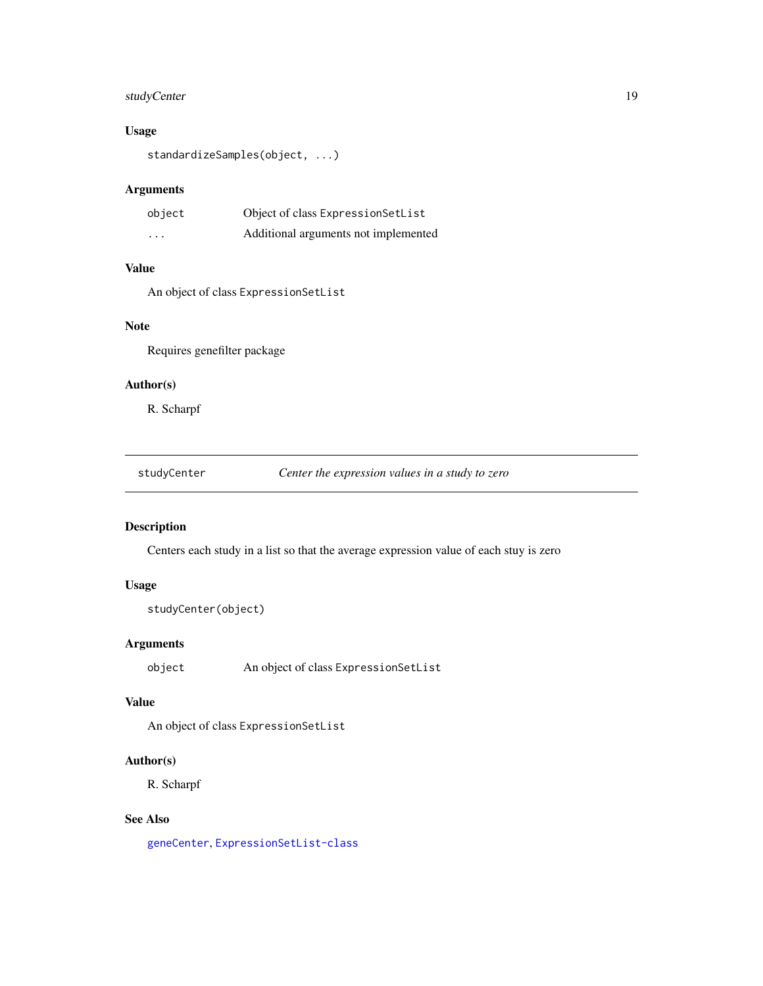## <span id="page-18-0"></span>studyCenter 19

## Usage

standardizeSamples(object, ...)

## Arguments

| object | Object of class Expression SetList   |
|--------|--------------------------------------|
| .      | Additional arguments not implemented |

## Value

An object of class ExpressionSetList

## Note

Requires genefilter package

## Author(s)

R. Scharpf

<span id="page-18-1"></span>studyCenter *Center the expression values in a study to zero*

## Description

Centers each study in a list so that the average expression value of each stuy is zero

## Usage

```
studyCenter(object)
```
## Arguments

object An object of class ExpressionSetList

## Value

An object of class ExpressionSetList

## Author(s)

R. Scharpf

## See Also

[geneCenter](#page-8-1), [ExpressionSetList-class](#page-6-1)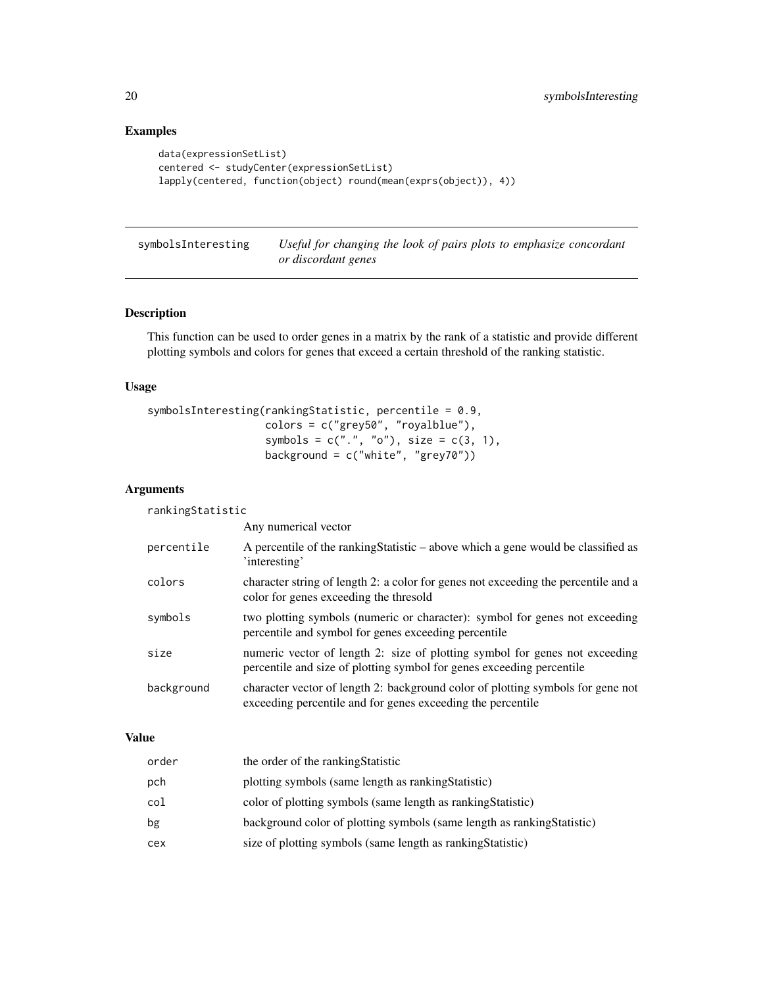## Examples

```
data(expressionSetList)
centered <- studyCenter(expressionSetList)
lapply(centered, function(object) round(mean(exprs(object)), 4))
```
symbolsInteresting *Useful for changing the look of pairs plots to emphasize concordant or discordant genes*

## Description

This function can be used to order genes in a matrix by the rank of a statistic and provide different plotting symbols and colors for genes that exceed a certain threshold of the ranking statistic.

## Usage

```
symbolsInteresting(rankingStatistic, percentile = 0.9,
                   colors = c("grey50", "royalblue"),
                   symbols = c("."," "o"), size = c(3, 1),
                   background = c("white", "grey70"))
```
#### Arguments

rankingStatistic

|            | Any numerical vector                                                                                                                                 |
|------------|------------------------------------------------------------------------------------------------------------------------------------------------------|
| percentile | A percentile of the ranking Statistic – above which a gene would be classified as<br>'interesting'                                                   |
| colors     | character string of length 2: a color for genes not exceeding the percentile and a<br>color for genes exceeding the thresold                         |
| symbols    | two plotting symbols (numeric or character): symbol for genes not exceeding<br>percentile and symbol for genes exceeding percentile                  |
| size       | numeric vector of length 2: size of plotting symbol for genes not exceeding<br>percentile and size of plotting symbol for genes exceeding percentile |
| background | character vector of length 2: background color of plotting symbols for gene not<br>exceeding percentile and for genes exceeding the percentile       |

#### Value

| order | the order of the ranking Statistic                                      |
|-------|-------------------------------------------------------------------------|
| pch   | plotting symbols (same length as ranking Statistic)                     |
| col   | color of plotting symbols (same length as ranking Statistic)            |
| bg    | background color of plotting symbols (same length as ranking Statistic) |
| cex   | size of plotting symbols (same length as ranking Statistic)             |

<span id="page-19-0"></span>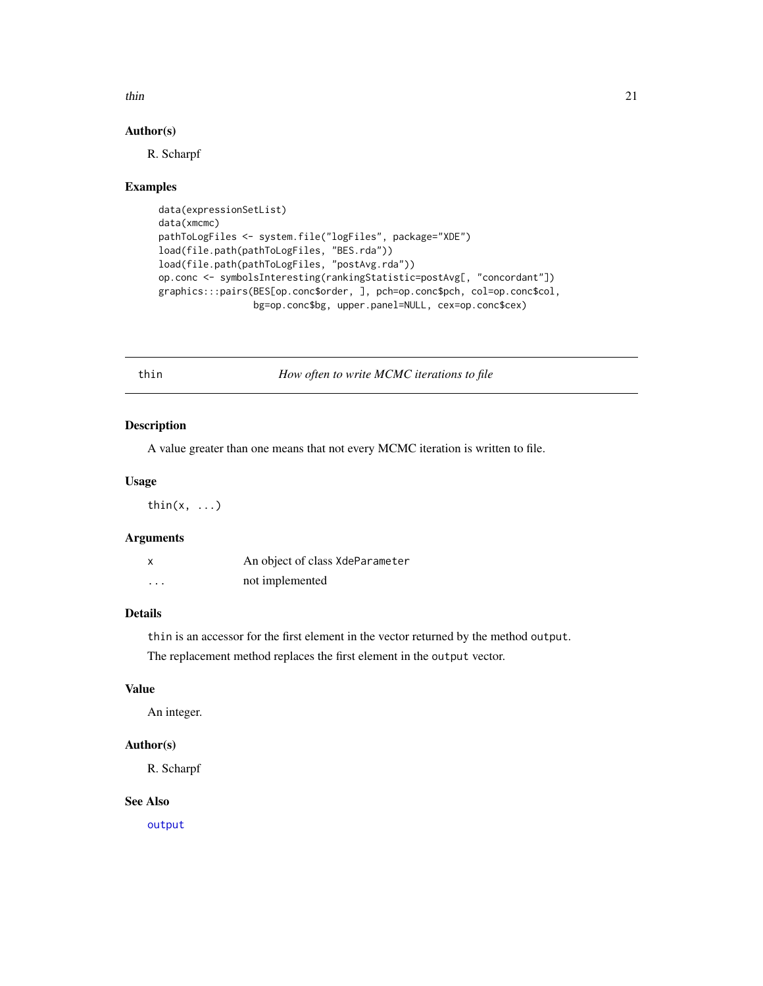#### <span id="page-20-0"></span> $\frac{1}{21}$

## Author(s)

R. Scharpf

#### Examples

```
data(expressionSetList)
data(xmcmc)
pathToLogFiles <- system.file("logFiles", package="XDE")
load(file.path(pathToLogFiles, "BES.rda"))
load(file.path(pathToLogFiles, "postAvg.rda"))
op.conc <- symbolsInteresting(rankingStatistic=postAvg[, "concordant"])
graphics:::pairs(BES[op.conc$order, ], pch=op.conc$pch, col=op.conc$col,
                 bg=op.conc$bg, upper.panel=NULL, cex=op.conc$cex)
```
<span id="page-20-1"></span>

thin *How often to write MCMC iterations to file*

## Description

A value greater than one means that not every MCMC iteration is written to file.

## Usage

thin $(x, \ldots)$ 

#### Arguments

|          | An object of class XdeParameter |
|----------|---------------------------------|
| $\cdots$ | not implemented                 |

## Details

thin is an accessor for the first element in the vector returned by the method output.

The replacement method replaces the first element in the output vector.

## Value

An integer.

#### Author(s)

R. Scharpf

#### See Also

[output](#page-12-1)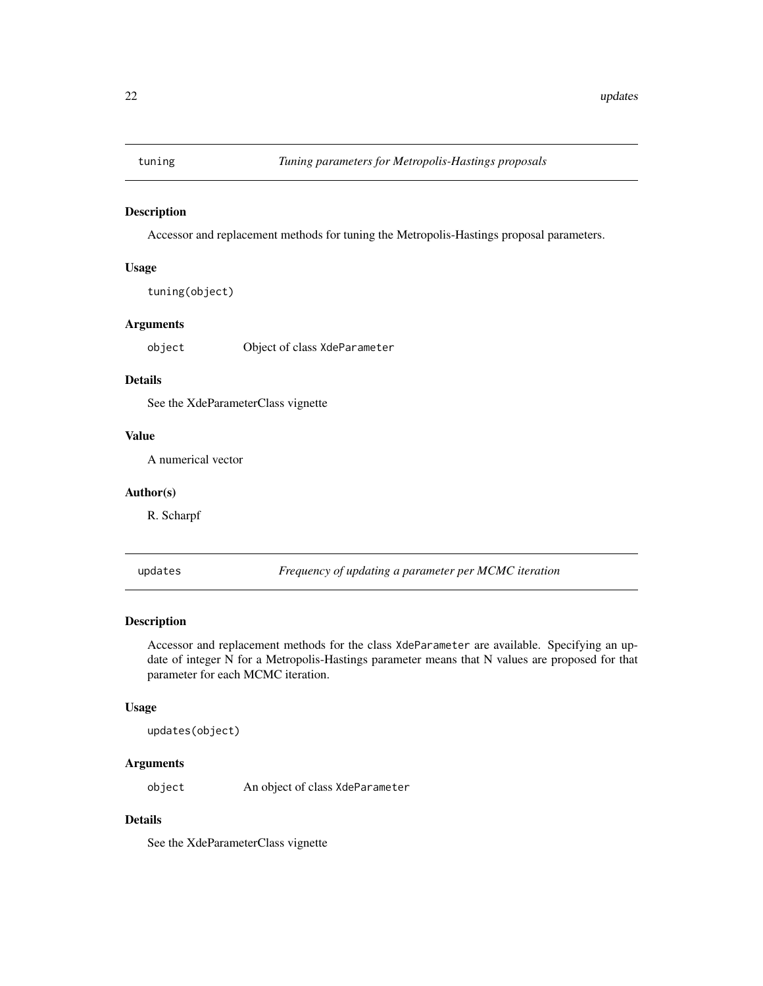<span id="page-21-1"></span><span id="page-21-0"></span>

Accessor and replacement methods for tuning the Metropolis-Hastings proposal parameters.

## Usage

tuning(object)

## Arguments

object Object of class XdeParameter

## Details

See the XdeParameterClass vignette

#### Value

A numerical vector

## Author(s)

R. Scharpf

<span id="page-21-2"></span>updates *Frequency of updating a parameter per MCMC iteration*

## Description

Accessor and replacement methods for the class XdeParameter are available. Specifying an update of integer N for a Metropolis-Hastings parameter means that N values are proposed for that parameter for each MCMC iteration.

#### Usage

updates(object)

## Arguments

object An object of class XdeParameter

## Details

See the XdeParameterClass vignette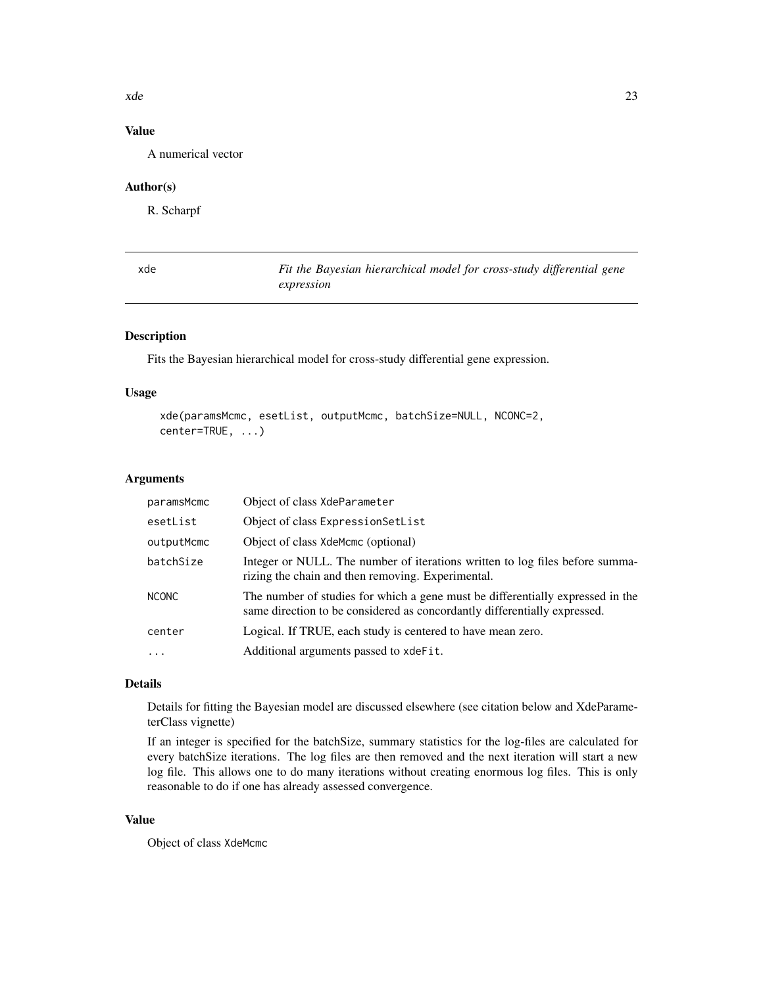#### <span id="page-22-0"></span> $xde$  23

## Value

A numerical vector

## Author(s)

R. Scharpf

| xde | Fit the Bayesian hierarchical model for cross-study differential gene |
|-----|-----------------------------------------------------------------------|
|     | expression                                                            |

## Description

Fits the Bayesian hierarchical model for cross-study differential gene expression.

## Usage

```
xde(paramsMcmc, esetList, outputMcmc, batchSize=NULL, NCONC=2,
center=TRUE, ...)
```
## Arguments

| paramsMcmc   | Object of class XdeParameter                                                                                                                                |
|--------------|-------------------------------------------------------------------------------------------------------------------------------------------------------------|
| esetList     | Object of class Expression SetList                                                                                                                          |
| outputMcmc   | Object of class XdeMcmc (optional)                                                                                                                          |
| batchSize    | Integer or NULL. The number of iterations written to log files before summa-<br>rizing the chain and then removing. Experimental.                           |
| <b>NCONC</b> | The number of studies for which a gene must be differentially expressed in the<br>same direction to be considered as concordantly differentially expressed. |
| center       | Logical. If TRUE, each study is centered to have mean zero.                                                                                                 |
| $\cdots$     | Additional arguments passed to xdeFit.                                                                                                                      |

## Details

Details for fitting the Bayesian model are discussed elsewhere (see citation below and XdeParameterClass vignette)

If an integer is specified for the batchSize, summary statistics for the log-files are calculated for every batchSize iterations. The log files are then removed and the next iteration will start a new log file. This allows one to do many iterations without creating enormous log files. This is only reasonable to do if one has already assessed convergence.

## Value

Object of class XdeMcmc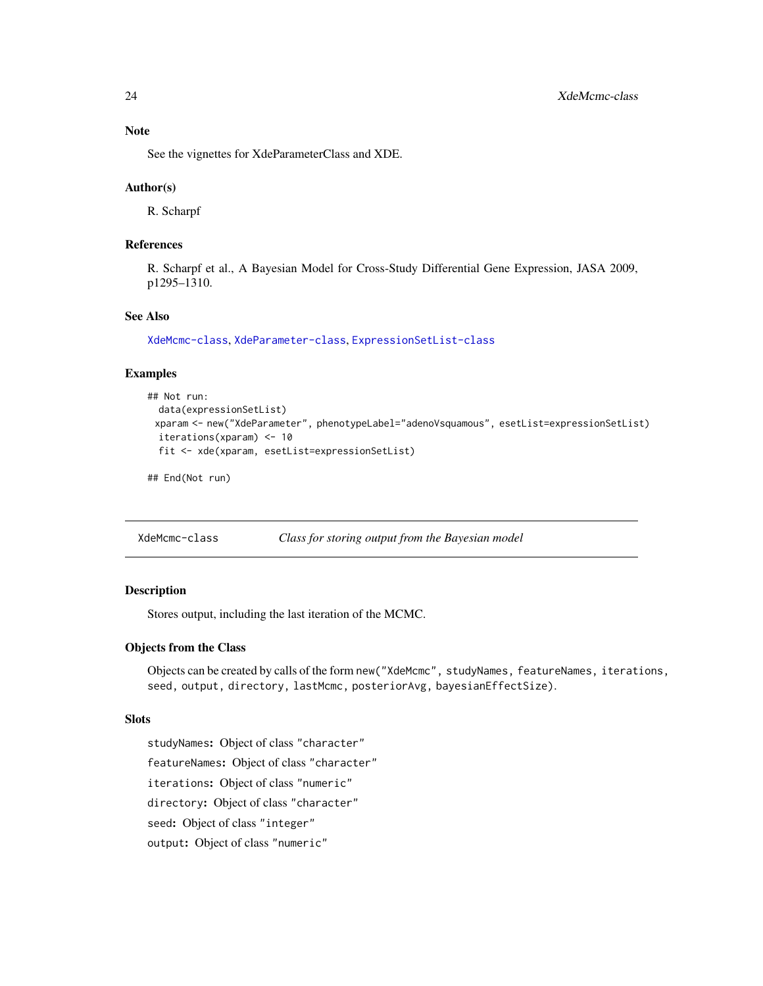## <span id="page-23-0"></span>Note

See the vignettes for XdeParameterClass and XDE.

#### Author(s)

R. Scharpf

## References

R. Scharpf et al., A Bayesian Model for Cross-Study Differential Gene Expression, JASA 2009, p1295–1310.

## See Also

[XdeMcmc-class](#page-23-1), [XdeParameter-class](#page-25-1), [ExpressionSetList-class](#page-6-1)

#### Examples

```
## Not run:
 data(expressionSetList)
 xparam <- new("XdeParameter", phenotypeLabel="adenoVsquamous", esetList=expressionSetList)
 iterations(xparam) <- 10
 fit <- xde(xparam, esetList=expressionSetList)
```
## End(Not run)

<span id="page-23-1"></span>XdeMcmc-class *Class for storing output from the Bayesian model*

#### **Description**

Stores output, including the last iteration of the MCMC.

#### Objects from the Class

Objects can be created by calls of the form new("XdeMcmc", studyNames, featureNames, iterations, seed, output, directory, lastMcmc, posteriorAvg, bayesianEffectSize).

## Slots

studyNames: Object of class "character" featureNames: Object of class "character" iterations: Object of class "numeric" directory: Object of class "character" seed: Object of class "integer" output: Object of class "numeric"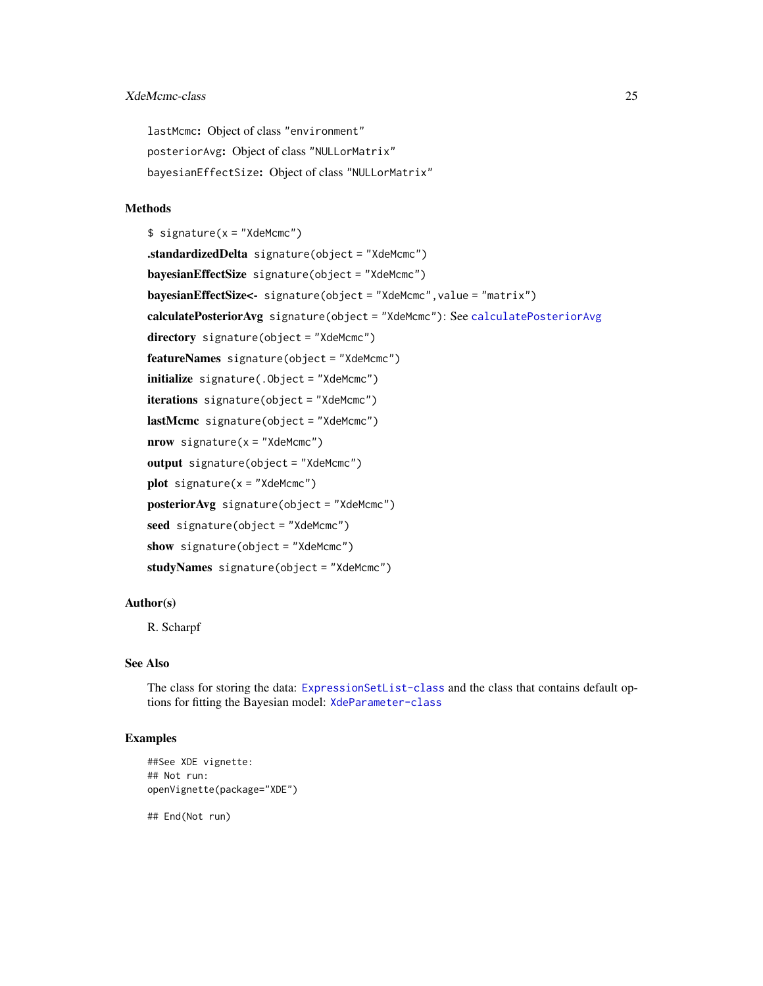## <span id="page-24-0"></span>XdeMcmc-class 25

lastMcmc: Object of class "environment" posteriorAvg: Object of class "NULLorMatrix" bayesianEffectSize: Object of class "NULLorMatrix"

## Methods

 $$ signalure(x = "XdeMcmc")$ .standardizedDelta signature(object = "XdeMcmc") bayesianEffectSize signature(object = "XdeMcmc") bayesianEffectSize<- signature(object = "XdeMcmc", value = "matrix") calculatePosteriorAvg signature(object = "XdeMcmc"): See [calculatePosteriorAvg](#page-2-1) directory signature(object = "XdeMcmc") featureNames signature(object = "XdeMcmc") initialize signature(.Object = "XdeMcmc") iterations signature(object = "XdeMcmc") lastMcmc signature(object = "XdeMcmc")  $nrow$  signature( $x = "X$ deMcmc") output signature(object = "XdeMcmc") plot signature( $x =$ "XdeMcmc") posteriorAvg signature(object = "XdeMcmc") seed signature(object = "XdeMcmc") show signature(object = "XdeMcmc") studyNames signature(object = "XdeMcmc")

## Author(s)

R. Scharpf

## See Also

The class for storing the data: [ExpressionSetList-class](#page-6-1) and the class that contains default op-tions for fitting the Bayesian model: [XdeParameter-class](#page-25-1)

#### Examples

```
##See XDE vignette:
## Not run:
openVignette(package="XDE")
```
## End(Not run)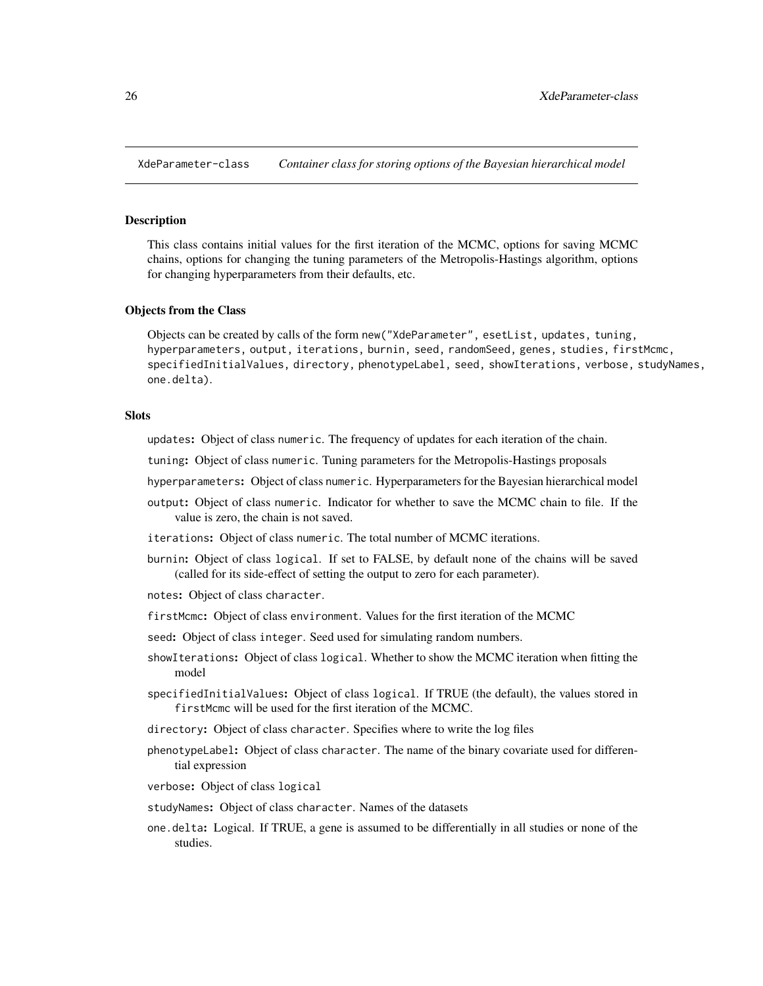<span id="page-25-1"></span><span id="page-25-0"></span>XdeParameter-class *Container class for storing options of the Bayesian hierarchical model*

#### Description

This class contains initial values for the first iteration of the MCMC, options for saving MCMC chains, options for changing the tuning parameters of the Metropolis-Hastings algorithm, options for changing hyperparameters from their defaults, etc.

#### Objects from the Class

Objects can be created by calls of the form new("XdeParameter", esetList, updates, tuning, hyperparameters, output, iterations, burnin, seed, randomSeed, genes, studies, firstMcmc, specifiedInitialValues, directory, phenotypeLabel, seed, showIterations, verbose, studyNames, one.delta).

#### **Slots**

updates: Object of class numeric. The frequency of updates for each iteration of the chain.

tuning: Object of class numeric. Tuning parameters for the Metropolis-Hastings proposals

hyperparameters: Object of class numeric. Hyperparameters for the Bayesian hierarchical model

output: Object of class numeric. Indicator for whether to save the MCMC chain to file. If the value is zero, the chain is not saved.

iterations: Object of class numeric. The total number of MCMC iterations.

- burnin: Object of class logical. If set to FALSE, by default none of the chains will be saved (called for its side-effect of setting the output to zero for each parameter).
- notes: Object of class character.
- firstMcmc: Object of class environment. Values for the first iteration of the MCMC
- seed: Object of class integer. Seed used for simulating random numbers.
- showIterations: Object of class logical. Whether to show the MCMC iteration when fitting the model
- specifiedInitialValues: Object of class logical. If TRUE (the default), the values stored in firstMcmc will be used for the first iteration of the MCMC.
- directory: Object of class character. Specifies where to write the log files
- phenotypeLabel: Object of class character. The name of the binary covariate used for differential expression
- verbose: Object of class logical
- studyNames: Object of class character. Names of the datasets
- one.delta: Logical. If TRUE, a gene is assumed to be differentially in all studies or none of the studies.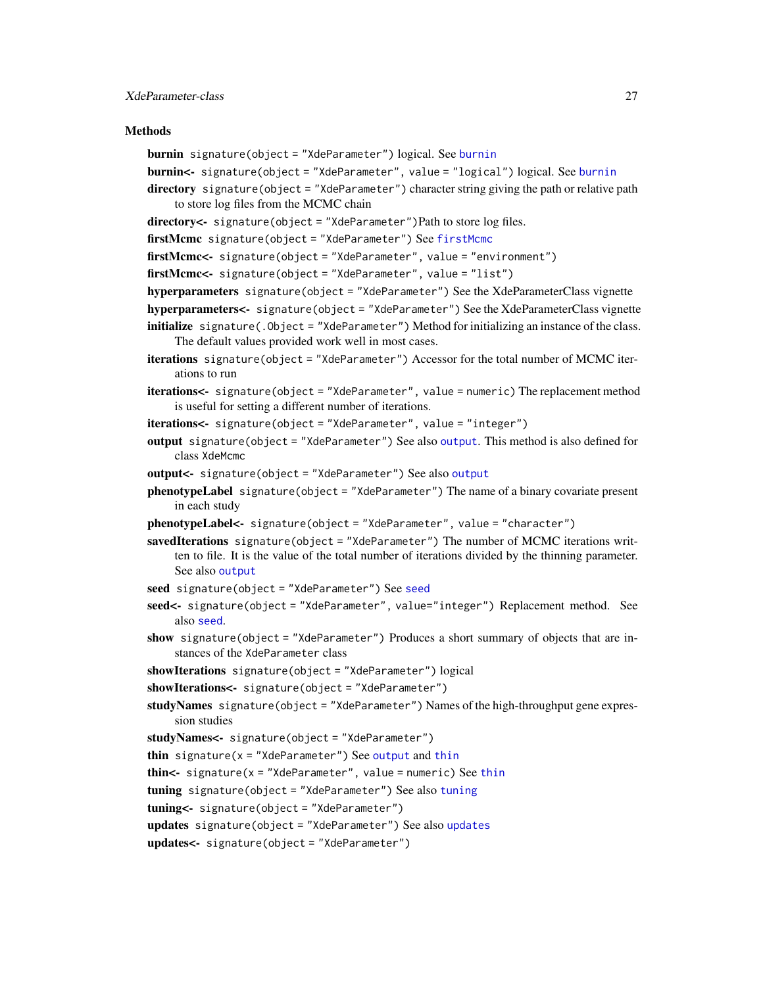#### <span id="page-26-0"></span>**Methods**

burnin signature(object = "XdeParameter") logical. See [burnin](#page-1-1) [burnin](#page-1-1)<- signature(object = "XdeParameter", value = "logical") logical. See burnin directory signature(object = "XdeParameter") character string giving the path or relative path to store log files from the MCMC chain directory<- signature(object = "XdeParameter")Path to store log files. [firstMcmc](#page-8-2) signature(object = "XdeParameter") See firstMcmc firstMcmc<- signature(object = "XdeParameter", value = "environment") firstMcmc<- signature(object = "XdeParameter", value = "list") hyperparameters signature(object = "XdeParameter") See the XdeParameterClass vignette hyperparameters<- signature(object = "XdeParameter") See the XdeParameterClass vignette initialize signature(.Object = "XdeParameter") Method for initializing an instance of the class. The default values provided work well in most cases. iterations signature(object = "XdeParameter") Accessor for the total number of MCMC iterations to run iterations<- signature(object = "XdeParameter", value = numeric) The replacement method is useful for setting a different number of iterations. iterations<- signature(object = "XdeParameter", value = "integer") output signature(object = "XdeParameter") See also [output](#page-12-1). This method is also defined for class XdeMcmc output<- signature(object = "XdeParameter") See also [output](#page-12-1) phenotypeLabel signature(object = "XdeParameter") The name of a binary covariate present in each study phenotypeLabel<- signature(object = "XdeParameter", value = "character") savedIterations signature(object = "XdeParameter") The number of MCMC iterations written to file. It is the value of the total number of iterations divided by the thinning parameter. See also [output](#page-12-1) [seed](#page-15-2) signature(object = "XdeParameter") See seed seed<- signature(object = "XdeParameter", value="integer") Replacement method. See also [seed](#page-15-2). show signature(object = "XdeParameter") Produces a short summary of objects that are instances of the XdeParameter class showIterations signature(object = "XdeParameter") logical showIterations<- signature(object = "XdeParameter") studyNames signature(object = "XdeParameter") Names of the high-throughput gene expression studies studyNames<- signature(object = "XdeParameter") [thin](#page-20-1) signature( $x =$  "XdeParameter") See [output](#page-12-1) and thin [thin](#page-20-1)<- signature( $x =$  "XdeParameter", value = numeric) See thin tuning signature(object = "XdeParameter") See also [tuning](#page-21-1) tuning<- signature(object = "XdeParameter") [updates](#page-21-2) signature(object = "XdeParameter") See also updates updates<- signature(object = "XdeParameter")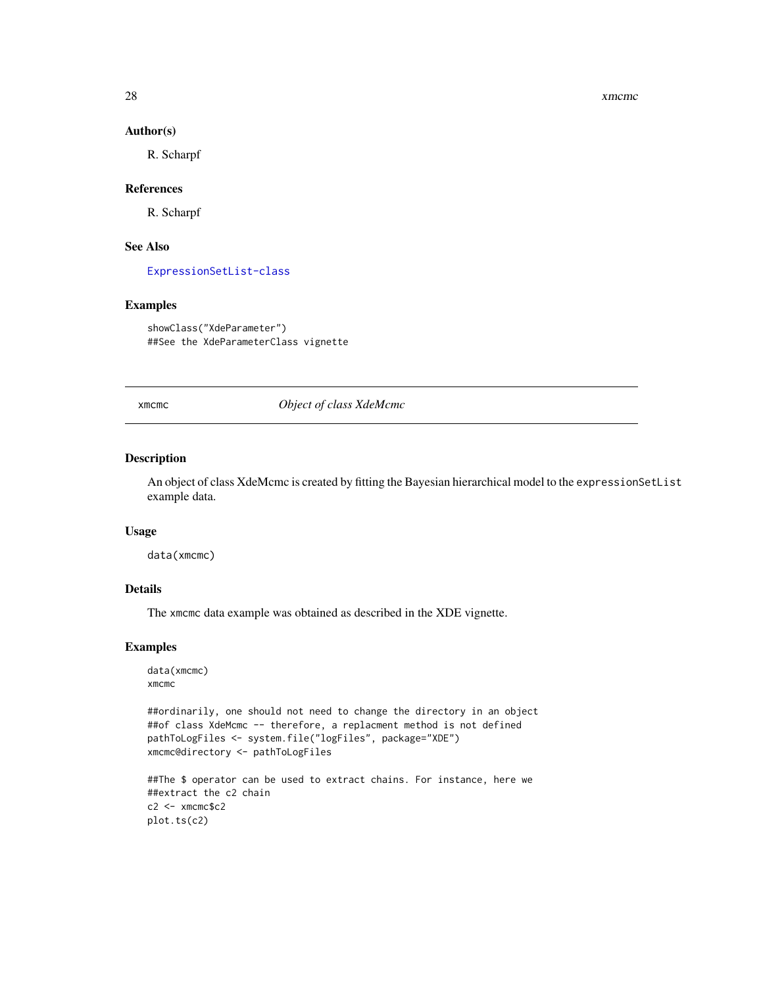#### <span id="page-27-0"></span>28 xmcmc

#### Author(s)

R. Scharpf

## References

R. Scharpf

## See Also

[ExpressionSetList-class](#page-6-1)

#### Examples

showClass("XdeParameter") ##See the XdeParameterClass vignette

xmcmc *Object of class XdeMcmc*

## Description

An object of class XdeMcmc is created by fitting the Bayesian hierarchical model to the expressionSetList example data.

#### Usage

data(xmcmc)

## Details

The xmcmc data example was obtained as described in the XDE vignette.

#### Examples

```
data(xmcmc)
xmcmc
```

```
##ordinarily, one should not need to change the directory in an object
##of class XdeMcmc -- therefore, a replacment method is not defined
pathToLogFiles <- system.file("logFiles", package="XDE")
xmcmc@directory <- pathToLogFiles
```

```
##The $ operator can be used to extract chains. For instance, here we
##extract the c2 chain
c2 < -x mcmc$c2
plot.ts(c2)
```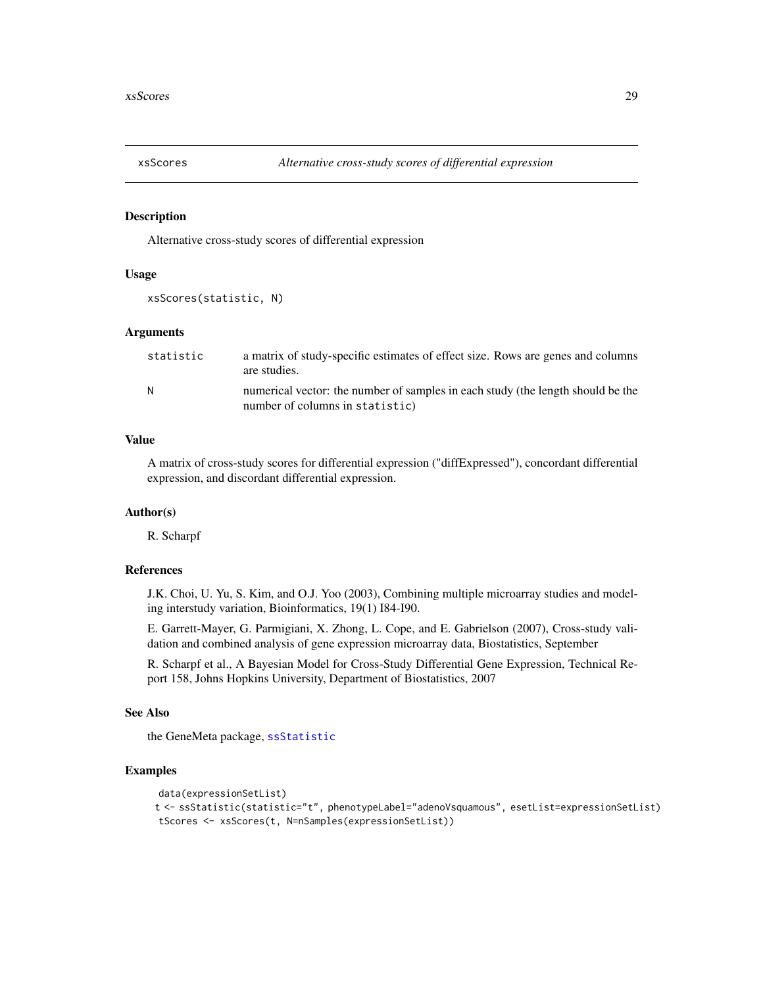<span id="page-28-0"></span>

Alternative cross-study scores of differential expression

## Usage

```
xsScores(statistic, N)
```
#### Arguments

| statistic | a matrix of study-specific estimates of effect size. Rows are genes and columns<br>are studies.                    |
|-----------|--------------------------------------------------------------------------------------------------------------------|
| N         | numerical vector: the number of samples in each study (the length should be the<br>number of columns in statistic) |

#### Value

A matrix of cross-study scores for differential expression ("diffExpressed"), concordant differential expression, and discordant differential expression.

#### Author(s)

R. Scharpf

## References

J.K. Choi, U. Yu, S. Kim, and O.J. Yoo (2003), Combining multiple microarray studies and modeling interstudy variation, Bioinformatics, 19(1) I84-I90.

E. Garrett-Mayer, G. Parmigiani, X. Zhong, L. Cope, and E. Gabrielson (2007), Cross-study validation and combined analysis of gene expression microarray data, Biostatistics, September

R. Scharpf et al., A Bayesian Model for Cross-Study Differential Gene Expression, Technical Report 158, Johns Hopkins University, Department of Biostatistics, 2007

#### See Also

the GeneMeta package, [ssStatistic](#page-16-1)

#### Examples

```
data(expressionSetList)
t <- ssStatistic(statistic="t", phenotypeLabel="adenoVsquamous", esetList=expressionSetList)
tScores <- xsScores(t, N=nSamples(expressionSetList))
```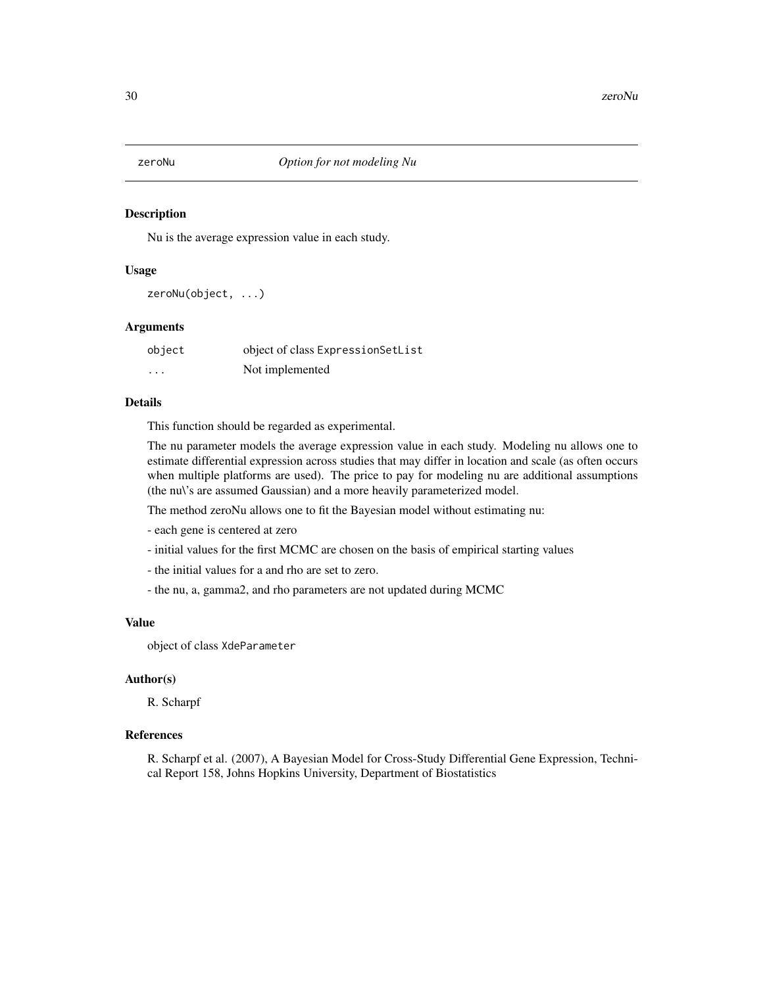<span id="page-29-1"></span><span id="page-29-0"></span>

Nu is the average expression value in each study.

#### Usage

zeroNu(object, ...)

#### Arguments

| object  | object of class Expression SetList |
|---------|------------------------------------|
| $\cdot$ | Not implemented                    |

## Details

This function should be regarded as experimental.

The nu parameter models the average expression value in each study. Modeling nu allows one to estimate differential expression across studies that may differ in location and scale (as often occurs when multiple platforms are used). The price to pay for modeling nu are additional assumptions (the nu\'s are assumed Gaussian) and a more heavily parameterized model.

The method zeroNu allows one to fit the Bayesian model without estimating nu:

- each gene is centered at zero
- initial values for the first MCMC are chosen on the basis of empirical starting values
- the initial values for a and rho are set to zero.
- the nu, a, gamma2, and rho parameters are not updated during MCMC

## Value

object of class XdeParameter

#### Author(s)

R. Scharpf

#### References

R. Scharpf et al. (2007), A Bayesian Model for Cross-Study Differential Gene Expression, Technical Report 158, Johns Hopkins University, Department of Biostatistics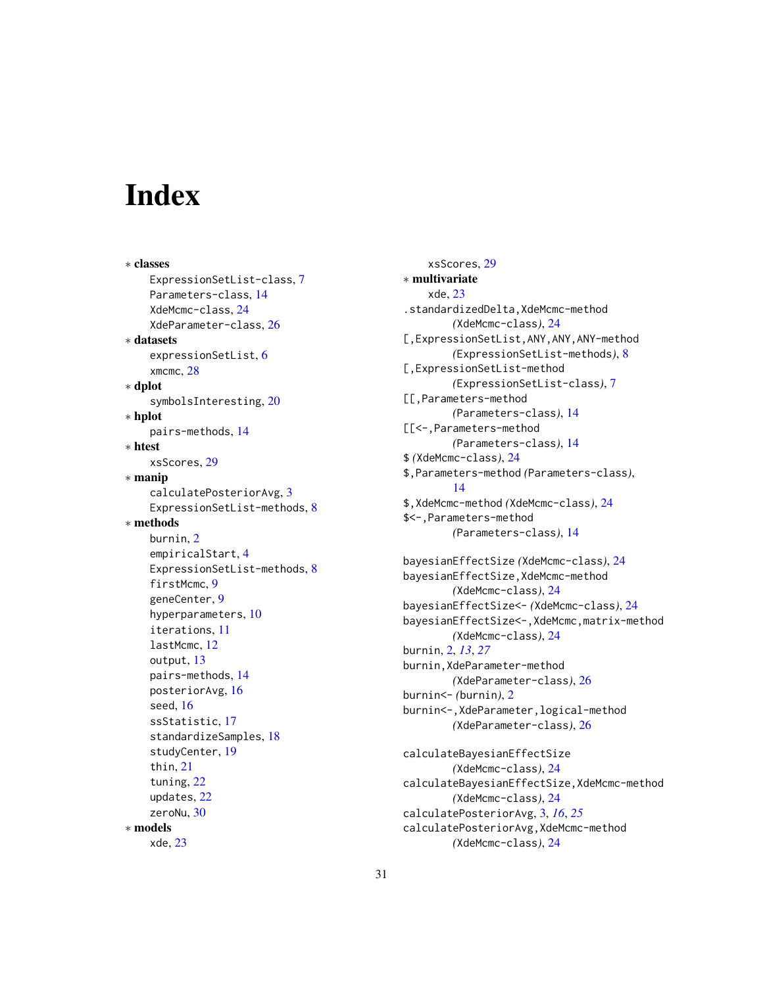# <span id="page-30-0"></span>**Index**

∗ classes ExpressionSetList-class, [7](#page-6-0) Parameters-class, [14](#page-13-0) XdeMcmc-class, [24](#page-23-0) XdeParameter-class, [26](#page-25-0) ∗ datasets expressionSetList, [6](#page-5-0) xmcmc, [28](#page-27-0) ∗ dplot symbolsInteresting, [20](#page-19-0) ∗ hplot pairs-methods, [14](#page-13-0) ∗ htest xsScores, [29](#page-28-0) ∗ manip calculatePosteriorAvg, [3](#page-2-0) ExpressionSetList-methods, [8](#page-7-0) ∗ methods burnin, [2](#page-1-0) empiricalStart, [4](#page-3-0) ExpressionSetList-methods, [8](#page-7-0) firstMcmc. [9](#page-8-0) geneCenter, [9](#page-8-0) hyperparameters, [10](#page-9-0) iterations, [11](#page-10-0) lastMcmc, [12](#page-11-0) output, [13](#page-12-0) pairs-methods, [14](#page-13-0) posteriorAvg, [16](#page-15-0) seed, [16](#page-15-0) ssStatistic, [17](#page-16-0) standardizeSamples, [18](#page-17-0) studyCenter, [19](#page-18-0) thin, [21](#page-20-0) tuning, [22](#page-21-0) updates, [22](#page-21-0) zeroNu, [30](#page-29-0) ∗ models xde, [23](#page-22-0)

xsScores, [29](#page-28-0) ∗ multivariate xde, [23](#page-22-0) .standardizedDelta,XdeMcmc-method *(*XdeMcmc-class*)*, [24](#page-23-0) [,ExpressionSetList,ANY,ANY,ANY-method *(*ExpressionSetList-methods*)*, [8](#page-7-0) [,ExpressionSetList-method *(*ExpressionSetList-class*)*, [7](#page-6-0) [[,Parameters-method *(*Parameters-class*)*, [14](#page-13-0) [[<-,Parameters-method *(*Parameters-class*)*, [14](#page-13-0) \$ *(*XdeMcmc-class*)*, [24](#page-23-0) \$,Parameters-method *(*Parameters-class*)*, [14](#page-13-0) \$,XdeMcmc-method *(*XdeMcmc-class*)*, [24](#page-23-0) \$<-,Parameters-method *(*Parameters-class*)*, [14](#page-13-0) bayesianEffectSize *(*XdeMcmc-class*)*, [24](#page-23-0) bayesianEffectSize,XdeMcmc-method *(*XdeMcmc-class*)*, [24](#page-23-0) bayesianEffectSize<- *(*XdeMcmc-class*)*, [24](#page-23-0) bayesianEffectSize<-,XdeMcmc,matrix-method *(*XdeMcmc-class*)*, [24](#page-23-0) burnin, [2,](#page-1-0) *[13](#page-12-0)*, *[27](#page-26-0)* burnin,XdeParameter-method *(*XdeParameter-class*)*, [26](#page-25-0) burnin<- *(*burnin*)*, [2](#page-1-0) burnin<-,XdeParameter,logical-method *(*XdeParameter-class*)*, [26](#page-25-0) calculateBayesianEffectSize

*(*XdeMcmc-class*)*, [24](#page-23-0) calculateBayesianEffectSize,XdeMcmc-method *(*XdeMcmc-class*)*, [24](#page-23-0) calculatePosteriorAvg, [3,](#page-2-0) *[16](#page-15-0)*, *[25](#page-24-0)* calculatePosteriorAvg,XdeMcmc-method *(*XdeMcmc-class*)*, [24](#page-23-0)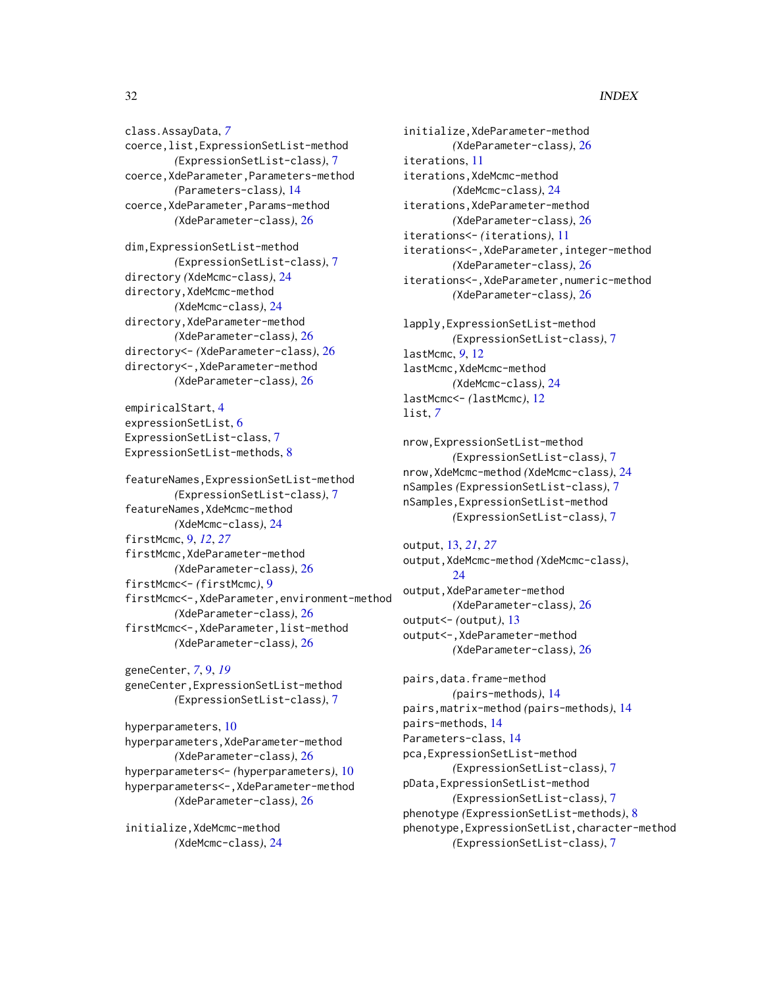## 32 INDEX

class.AssayData, *[7](#page-6-0)* coerce,list,ExpressionSetList-method *(*ExpressionSetList-class*)*, [7](#page-6-0) coerce,XdeParameter,Parameters-method *(*Parameters-class*)*, [14](#page-13-0) coerce,XdeParameter,Params-method *(*XdeParameter-class*)*, [26](#page-25-0)

dim,ExpressionSetList-method *(*ExpressionSetList-class*)*, [7](#page-6-0) directory *(*XdeMcmc-class*)*, [24](#page-23-0) directory, XdeMcmc-method *(*XdeMcmc-class*)*, [24](#page-23-0) directory,XdeParameter-method *(*XdeParameter-class*)*, [26](#page-25-0) directory<- *(*XdeParameter-class*)*, [26](#page-25-0) directory<-,XdeParameter-method *(*XdeParameter-class*)*, [26](#page-25-0)

empiricalStart, [4](#page-3-0) expressionSetList, [6](#page-5-0) ExpressionSetList-class, [7](#page-6-0) ExpressionSetList-methods, [8](#page-7-0)

featureNames,ExpressionSetList-method *(*ExpressionSetList-class*)*, [7](#page-6-0) featureNames,XdeMcmc-method *(*XdeMcmc-class*)*, [24](#page-23-0) firstMcmc, [9,](#page-8-0) *[12](#page-11-0)*, *[27](#page-26-0)* firstMcmc,XdeParameter-method *(*XdeParameter-class*)*, [26](#page-25-0) firstMcmc<- *(*firstMcmc*)*, [9](#page-8-0) firstMcmc<-,XdeParameter,environment-method *(*XdeParameter-class*)*, [26](#page-25-0) firstMcmc<-,XdeParameter,list-method *(*XdeParameter-class*)*, [26](#page-25-0)

geneCenter, *[7](#page-6-0)*, [9,](#page-8-0) *[19](#page-18-0)* geneCenter,ExpressionSetList-method *(*ExpressionSetList-class*)*, [7](#page-6-0)

hyperparameters, [10](#page-9-0) hyperparameters,XdeParameter-method *(*XdeParameter-class*)*, [26](#page-25-0) hyperparameters<- *(*hyperparameters*)*, [10](#page-9-0) hyperparameters<-,XdeParameter-method *(*XdeParameter-class*)*, [26](#page-25-0)

initialize,XdeMcmc-method *(*XdeMcmc-class*)*, [24](#page-23-0)

initialize,XdeParameter-method *(*XdeParameter-class*)*, [26](#page-25-0) iterations, [11](#page-10-0) iterations,XdeMcmc-method *(*XdeMcmc-class*)*, [24](#page-23-0) iterations,XdeParameter-method *(*XdeParameter-class*)*, [26](#page-25-0) iterations<- *(*iterations*)*, [11](#page-10-0) iterations<-,XdeParameter,integer-method *(*XdeParameter-class*)*, [26](#page-25-0) iterations<-,XdeParameter,numeric-method *(*XdeParameter-class*)*, [26](#page-25-0) lapply,ExpressionSetList-method

*(*ExpressionSetList-class*)*, [7](#page-6-0) lastMcmc, *[9](#page-8-0)*, [12](#page-11-0) lastMcmc,XdeMcmc-method *(*XdeMcmc-class*)*, [24](#page-23-0) lastMcmc<- *(*lastMcmc*)*, [12](#page-11-0) list, *[7](#page-6-0)*

nrow,ExpressionSetList-method *(*ExpressionSetList-class*)*, [7](#page-6-0) nrow,XdeMcmc-method *(*XdeMcmc-class*)*, [24](#page-23-0) nSamples *(*ExpressionSetList-class*)*, [7](#page-6-0) nSamples,ExpressionSetList-method *(*ExpressionSetList-class*)*, [7](#page-6-0)

output, [13,](#page-12-0) *[21](#page-20-0)*, *[27](#page-26-0)* output,XdeMcmc-method *(*XdeMcmc-class*)*,  $24$ output,XdeParameter-method *(*XdeParameter-class*)*, [26](#page-25-0) output<- *(*output*)*, [13](#page-12-0) output<-,XdeParameter-method *(*XdeParameter-class*)*, [26](#page-25-0)

pairs,data.frame-method *(*pairs-methods*)*, [14](#page-13-0) pairs,matrix-method *(*pairs-methods*)*, [14](#page-13-0) pairs-methods, [14](#page-13-0) Parameters-class, [14](#page-13-0) pca,ExpressionSetList-method *(*ExpressionSetList-class*)*, [7](#page-6-0) pData,ExpressionSetList-method *(*ExpressionSetList-class*)*, [7](#page-6-0) phenotype *(*ExpressionSetList-methods*)*, [8](#page-7-0) phenotype,ExpressionSetList,character-method *(*ExpressionSetList-class*)*, [7](#page-6-0)